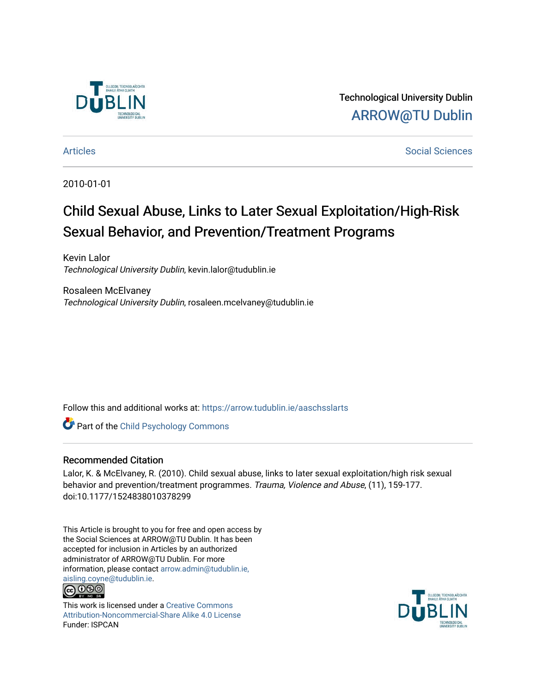

Technological University Dublin [ARROW@TU Dublin](https://arrow.tudublin.ie/) 

[Articles](https://arrow.tudublin.ie/aaschsslarts) **Social Sciences** [Social Sciences](https://arrow.tudublin.ie/aaschss) **Social Sciences** 

2010-01-01

# Child Sexual Abuse, Links to Later Sexual Exploitation/High-Risk Sexual Behavior, and Prevention/Treatment Programs

Kevin Lalor Technological University Dublin, kevin.lalor@tudublin.ie

Rosaleen McElvaney Technological University Dublin, rosaleen.mcelvaney@tudublin.ie

Follow this and additional works at: [https://arrow.tudublin.ie/aaschsslarts](https://arrow.tudublin.ie/aaschsslarts?utm_source=arrow.tudublin.ie%2Faaschsslarts%2F50&utm_medium=PDF&utm_campaign=PDFCoverPages)

**Part of the Child Psychology Commons** 

#### Recommended Citation

Lalor, K. & McElvaney, R. (2010). Child sexual abuse, links to later sexual exploitation/high risk sexual behavior and prevention/treatment programmes. Trauma, Violence and Abuse, (11), 159-177. doi:10.1177/1524838010378299

This Article is brought to you for free and open access by the Social Sciences at ARROW@TU Dublin. It has been accepted for inclusion in Articles by an authorized administrator of ARROW@TU Dublin. For more information, please contact [arrow.admin@tudublin.ie,](mailto:arrow.admin@tudublin.ie,%20aisling.coyne@tudublin.ie)  [aisling.coyne@tudublin.ie.](mailto:arrow.admin@tudublin.ie,%20aisling.coyne@tudublin.ie) <u>@@@</u>



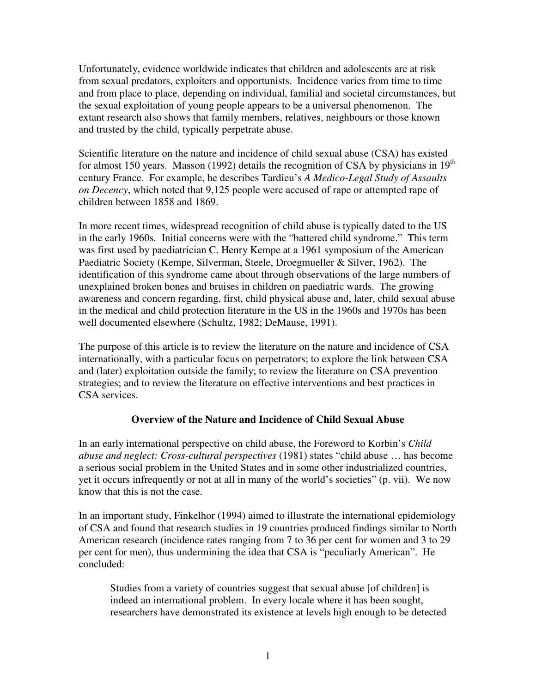Unfortunately, evidence worldwide indicates that children and adolescents are at risk from sexual predators, exploiters and opportunists. Incidence varies from time to time and from place to place, depending on individual, familial and societal circumstances, but the sexual exploitation of young people appears to be a universal phenomenon. The extant research also shows that family members, relatives, neighbours or those known and trusted by the child, typically perpetrate abuse.

Scientific literature on the nature and incidence of child sexual abuse (CSA) has existed for almost 150 years. Masson (1992) details the recognition of CSA by physicians in  $19<sup>th</sup>$ century France. For example, he describes Tardieu's *A Medico-Legal Study of Assaults on Decency*, which noted that 9,125 people were accused of rape or attempted rape of children between 1858 and 1869.

In more recent times, widespread recognition of child abuse is typically dated to the US in the early 1960s. Initial concerns were with the "battered child syndrome." This term was first used by paediatrician C. Henry Kempe at a 1961 symposium of the American Paediatric Society (Kempe, Silverman, Steele, Droegmueller & Silver, 1962). The identification of this syndrome came about through observations of the large numbers of unexplained broken bones and bruises in children on paediatric wards. The growing awareness and concern regarding, first, child physical abuse and, later, child sexual abuse in the medical and child protection literature in the US in the 1960s and 1970s has been well documented elsewhere (Schultz, 1982; DeMause, 1991).

The purpose of this article is to review the literature on the nature and incidence of CSA internationally, with a particular focus on perpetrators; to explore the link between CSA and (later) exploitation outside the family; to review the literature on CSA prevention strategies; and to review the literature on effective interventions and best practices in CSA services.

# **Overview of the Nature and Incidence of Child Sexual Abuse**

In an early international perspective on child abuse, the Foreword to Korbin's *Child abuse and neglect: Cross-cultural perspectives* (1981) states "child abuse … has become a serious social problem in the United States and in some other industrialized countries, yet it occurs infrequently or not at all in many of the world's societies" (p. vii). We now know that this is not the case.

In an important study, Finkelhor (1994) aimed to illustrate the international epidemiology of CSA and found that research studies in 19 countries produced findings similar to North American research (incidence rates ranging from 7 to 36 per cent for women and 3 to 29 per cent for men), thus undermining the idea that CSA is "peculiarly American". He concluded:

Studies from a variety of countries suggest that sexual abuse [of children] is indeed an international problem. In every locale where it has been sought, researchers have demonstrated its existence at levels high enough to be detected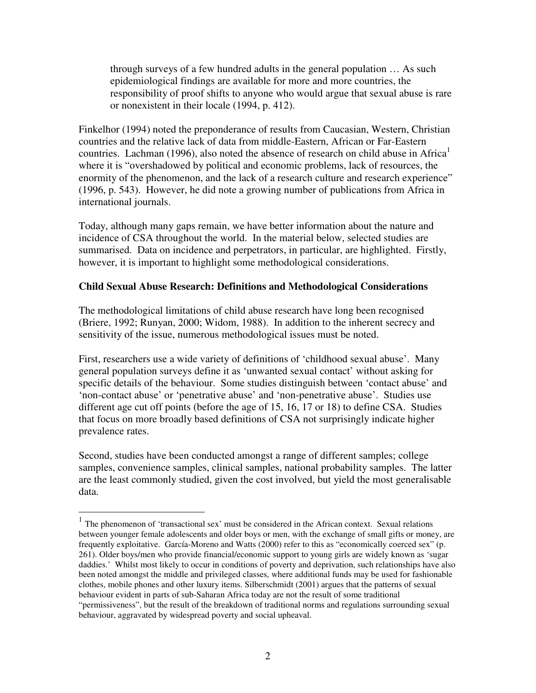through surveys of a few hundred adults in the general population … As such epidemiological findings are available for more and more countries, the responsibility of proof shifts to anyone who would argue that sexual abuse is rare or nonexistent in their locale (1994, p. 412).

Finkelhor (1994) noted the preponderance of results from Caucasian, Western, Christian countries and the relative lack of data from middle-Eastern, African or Far-Eastern countries. Lachman (1996), also noted the absence of research on child abuse in Africa<sup>1</sup> where it is "overshadowed by political and economic problems, lack of resources, the enormity of the phenomenon, and the lack of a research culture and research experience" (1996, p. 543). However, he did note a growing number of publications from Africa in international journals.

Today, although many gaps remain, we have better information about the nature and incidence of CSA throughout the world. In the material below, selected studies are summarised. Data on incidence and perpetrators, in particular, are highlighted. Firstly, however, it is important to highlight some methodological considerations.

# **Child Sexual Abuse Research: Definitions and Methodological Considerations**

The methodological limitations of child abuse research have long been recognised (Briere, 1992; Runyan, 2000; Widom, 1988). In addition to the inherent secrecy and sensitivity of the issue, numerous methodological issues must be noted.

First, researchers use a wide variety of definitions of 'childhood sexual abuse'. Many general population surveys define it as 'unwanted sexual contact' without asking for specific details of the behaviour. Some studies distinguish between 'contact abuse' and 'non-contact abuse' or 'penetrative abuse' and 'non-penetrative abuse'. Studies use different age cut off points (before the age of 15, 16, 17 or 18) to define CSA. Studies that focus on more broadly based definitions of CSA not surprisingly indicate higher prevalence rates.

Second, studies have been conducted amongst a range of different samples; college samples, convenience samples, clinical samples, national probability samples. The latter are the least commonly studied, given the cost involved, but yield the most generalisable data.

<sup>&</sup>lt;sup>1</sup> The phenomenon of 'transactional sex' must be considered in the African context. Sexual relations between younger female adolescents and older boys or men, with the exchange of small gifts or money, are frequently exploitative. García-Moreno and Watts (2000) refer to this as "economically coerced sex" (p. 261). Older boys/men who provide financial/economic support to young girls are widely known as 'sugar daddies.' Whilst most likely to occur in conditions of poverty and deprivation, such relationships have also been noted amongst the middle and privileged classes, where additional funds may be used for fashionable clothes, mobile phones and other luxury items. Silberschmidt (2001) argues that the patterns of sexual behaviour evident in parts of sub-Saharan Africa today are not the result of some traditional "permissiveness", but the result of the breakdown of traditional norms and regulations surrounding sexual behaviour, aggravated by widespread poverty and social upheaval.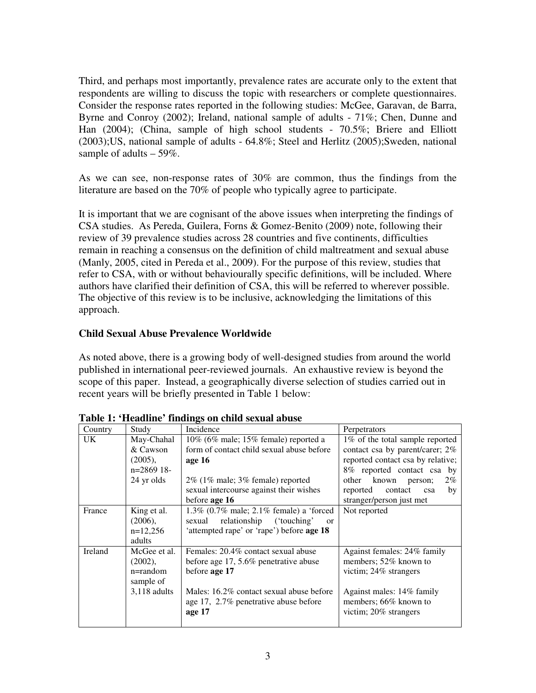Third, and perhaps most importantly, prevalence rates are accurate only to the extent that respondents are willing to discuss the topic with researchers or complete questionnaires. Consider the response rates reported in the following studies: McGee, Garavan, de Barra, Byrne and Conroy (2002); Ireland, national sample of adults - 71%; Chen, Dunne and Han (2004); (China, sample of high school students - 70.5%; Briere and Elliott (2003);US, national sample of adults - 64.8%; Steel and Herlitz (2005);Sweden, national sample of adults  $-59\%$ .

As we can see, non-response rates of 30% are common, thus the findings from the literature are based on the 70% of people who typically agree to participate.

It is important that we are cognisant of the above issues when interpreting the findings of CSA studies. As Pereda, Guilera, Forns & Gomez-Benito (2009) note, following their review of 39 prevalence studies across 28 countries and five continents, difficulties remain in reaching a consensus on the definition of child maltreatment and sexual abuse (Manly, 2005, cited in Pereda et al., 2009). For the purpose of this review, studies that refer to CSA, with or without behaviourally specific definitions, will be included. Where authors have clarified their definition of CSA, this will be referred to wherever possible. The objective of this review is to be inclusive, acknowledging the limitations of this approach.

# **Child Sexual Abuse Prevalence Worldwide**

As noted above, there is a growing body of well-designed studies from around the world published in international peer-reviewed journals. An exhaustive review is beyond the scope of this paper. Instead, a geographically diverse selection of studies carried out in recent years will be briefly presented in Table 1 below:

| Country                       | Study          | Incidence                                                    | Perpetrators                      |  |
|-------------------------------|----------------|--------------------------------------------------------------|-----------------------------------|--|
| UK.<br>May-Chahal<br>& Cawson |                | $10\%$ (6% male; 15% female) reported a                      | 1\% of the total sample reported  |  |
|                               |                | form of contact child sexual abuse before                    | contact csa by parent/carer; 2%   |  |
|                               | $(2005)$ ,     | age 16                                                       | reported contact csa by relative; |  |
|                               | n=2869 18-     |                                                              | 8% reported contact csa by        |  |
|                               | 24 yr olds     | $2\%$ (1% male; 3% female) reported                          | known person;<br>$2\%$<br>other   |  |
|                               |                | sexual intercourse against their wishes                      | reported<br>contact<br>by<br>csa  |  |
|                               |                | before age 16                                                | stranger/person just met          |  |
| France                        | King et al.    | 1.3% $(0.7\% \text{ male}; 2.1\% \text{ female})$ a 'forced' | Not reported                      |  |
|                               | (2006),        | relationship<br>('touching'<br>sexual<br>$\alpha$            |                                   |  |
| $n=12,256$                    |                | 'attempted rape' or 'rape') before age 18                    |                                   |  |
|                               | adults         |                                                              |                                   |  |
| Ireland                       | McGee et al.   | Females: 20.4% contact sexual abuse                          | Against females: 24% family       |  |
|                               | $(2002)$ ,     | before age 17, 5.6% penetrative abuse                        | members; 52% known to             |  |
| $n =$ random                  |                | before age 17                                                | victim; 24% strangers             |  |
|                               | sample of      |                                                              |                                   |  |
|                               | $3,118$ adults | Males: 16.2% contact sexual abuse before                     | Against males: 14% family         |  |
|                               |                | age 17, 2.7% penetrative abuse before                        | members; $66\%$ known to          |  |
|                               |                | age 17                                                       | victim; $20\%$ strangers          |  |
|                               |                |                                                              |                                   |  |

**Table 1: 'Headline' findings on child sexual abuse**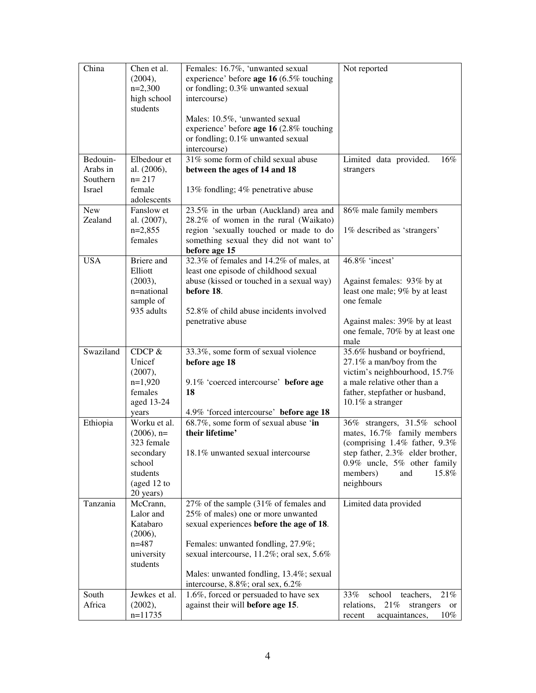| China                | Chen et al.                | Females: 16.7%, 'unwanted sexual                                                 | Not reported                                                      |
|----------------------|----------------------------|----------------------------------------------------------------------------------|-------------------------------------------------------------------|
|                      | (2004),                    | experience' before age 16 (6.5% touching                                         |                                                                   |
|                      | $n=2,300$<br>high school   | or fondling; 0.3% unwanted sexual<br>intercourse)                                |                                                                   |
|                      | students                   |                                                                                  |                                                                   |
|                      |                            | Males: 10.5%, 'unwanted sexual                                                   |                                                                   |
|                      |                            | experience' before age 16 (2.8% touching                                         |                                                                   |
|                      |                            | or fondling; 0.1% unwanted sexual                                                |                                                                   |
|                      |                            | intercourse)                                                                     |                                                                   |
| Bedouin-<br>Arabs in | Elbedour et<br>al. (2006), | 31% some form of child sexual abuse<br>between the ages of 14 and 18             | Limited data provided.<br>16%<br>strangers                        |
| Southern             | $n = 217$                  |                                                                                  |                                                                   |
| Israel               | female                     | 13% fondling; 4% penetrative abuse                                               |                                                                   |
|                      | adolescents                |                                                                                  |                                                                   |
| <b>New</b>           | Fanslow et                 | 23.5% in the urban (Auckland) area and                                           | 86% male family members                                           |
| Zealand              | al. (2007),                | 28.2% of women in the rural (Waikato)                                            |                                                                   |
|                      | $n=2,855$<br>females       | region 'sexually touched or made to do<br>something sexual they did not want to' | 1% described as 'strangers'                                       |
|                      |                            | before age 15                                                                    |                                                                   |
| <b>USA</b>           | Briere and                 | 32.3% of females and 14.2% of males, at                                          | 46.8% 'incest'                                                    |
|                      | Elliott                    | least one episode of childhood sexual                                            |                                                                   |
|                      | (2003),                    | abuse (kissed or touched in a sexual way)                                        | Against females: 93% by at                                        |
|                      | n=national                 | before 18.                                                                       | least one male; 9% by at least                                    |
|                      | sample of<br>935 adults    | 52.8% of child abuse incidents involved                                          | one female                                                        |
|                      |                            | penetrative abuse                                                                | Against males: 39% by at least                                    |
|                      |                            |                                                                                  | one female, 70% by at least one                                   |
|                      |                            |                                                                                  | male                                                              |
| Swaziland            | CDCP $&$                   | 33.3%, some form of sexual violence                                              | 35.6% husband or boyfriend,                                       |
|                      | Unicef                     | before age 18                                                                    | 27.1% a man/boy from the                                          |
|                      | (2007),<br>$n=1,920$       | 9.1% 'coerced intercourse' before age                                            | victim's neighbourhood, 15.7%<br>a male relative other than a     |
|                      | females                    | 18                                                                               | father, stepfather or husband,                                    |
|                      | aged 13-24                 |                                                                                  | $10.1\%$ a stranger                                               |
|                      | years                      | 4.9% 'forced intercourse' before age 18                                          |                                                                   |
| Ethiopia             | Worku et al.               | 68.7%, some form of sexual abuse 'in                                             | 36% strangers, 31.5% school                                       |
|                      | $(2006)$ , n=              | their lifetime'                                                                  | mates, 16.7% family members                                       |
|                      | 323 female<br>secondary    | 18.1% unwanted sexual intercourse                                                | (comprising 1.4% father, 9.3%<br>step father, 2.3% elder brother. |
|                      | school                     |                                                                                  | 0.9% uncle, 5% other family                                       |
|                      | students                   |                                                                                  | members)<br>15.8%<br>and                                          |
|                      | (aged 12 to                |                                                                                  | neighbours                                                        |
|                      | 20 years)                  |                                                                                  |                                                                   |
| Tanzania             | McCrann,                   | 27% of the sample (31% of females and                                            | Limited data provided                                             |
|                      | Lalor and<br>Katabaro      | 25% of males) one or more unwanted<br>sexual experiences before the age of 18.   |                                                                   |
|                      | (2006),                    |                                                                                  |                                                                   |
|                      | $n = 487$                  | Females: unwanted fondling, 27.9%;                                               |                                                                   |
|                      | university                 | sexual intercourse, 11.2%; oral sex, 5.6%                                        |                                                                   |
|                      | students                   |                                                                                  |                                                                   |
|                      |                            | Males: unwanted fondling, 13.4%; sexual                                          |                                                                   |
| South                | Jewkes et al.              | intercourse, 8.8%; oral sex, 6.2%<br>1.6%, forced or persuaded to have sex       | 33%<br>school<br>21%<br>teachers,                                 |
| Africa               | (2002),                    | against their will before age 15.                                                | 21%<br>relations,<br>strangers<br>or                              |
|                      | $n=11735$                  |                                                                                  | acquaintances,<br>$10\%$<br>recent                                |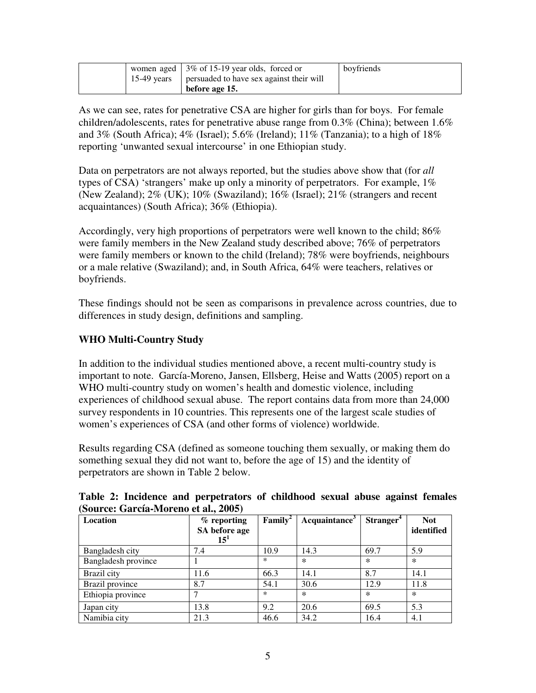|  | women aged $\frac{13\% \text{ of } 15-19 \text{ year} \text{ old}}{2 \text{ year}}$ forced or | boyfriends |
|--|-----------------------------------------------------------------------------------------------|------------|
|  | 15-49 years   persuaded to have sex against their will                                        |            |
|  | before age 15.                                                                                |            |

As we can see, rates for penetrative CSA are higher for girls than for boys. For female children/adolescents, rates for penetrative abuse range from 0.3% (China); between 1.6% and 3% (South Africa); 4% (Israel); 5.6% (Ireland); 11% (Tanzania); to a high of 18% reporting 'unwanted sexual intercourse' in one Ethiopian study.

Data on perpetrators are not always reported, but the studies above show that (for *all* types of CSA) 'strangers' make up only a minority of perpetrators. For example, 1% (New Zealand); 2% (UK); 10% (Swaziland); 16% (Israel); 21% (strangers and recent acquaintances) (South Africa); 36% (Ethiopia).

Accordingly, very high proportions of perpetrators were well known to the child; 86% were family members in the New Zealand study described above; 76% of perpetrators were family members or known to the child (Ireland); 78% were boyfriends, neighbours or a male relative (Swaziland); and, in South Africa, 64% were teachers, relatives or boyfriends.

These findings should not be seen as comparisons in prevalence across countries, due to differences in study design, definitions and sampling.

# **WHO Multi-Country Study**

In addition to the individual studies mentioned above, a recent multi-country study is important to note. García-Moreno, Jansen, Ellsberg, Heise and Watts (2005) report on a WHO multi-country study on women's health and domestic violence, including experiences of childhood sexual abuse. The report contains data from more than 24,000 survey respondents in 10 countries. This represents one of the largest scale studies of women's experiences of CSA (and other forms of violence) worldwide.

Results regarding CSA (defined as someone touching them sexually, or making them do something sexual they did not want to, before the age of 15) and the identity of perpetrators are shown in Table 2 below.

| $\overline{S}$ out ce. Gai cla-tyrul cho et al., $\overline{Z}$ 003) |                               |                     |                           |                       |            |
|----------------------------------------------------------------------|-------------------------------|---------------------|---------------------------|-----------------------|------------|
| Location                                                             | $%$ reporting                 | $\mathbf{Family}^2$ | Acquaintance <sup>3</sup> | Stranger <sup>4</sup> | <b>Not</b> |
|                                                                      | SA before age<br>$15^{\circ}$ |                     |                           |                       | identified |
| Bangladesh city                                                      | 7.4                           | 10.9                | 14.3                      | 69.7                  | 5.9        |
| Bangladesh province                                                  |                               | *                   | $\ast$                    | $\ast$                | $\ast$     |
| Brazil city                                                          | 11.6                          | 66.3                | 14.1                      | 8.7                   | 14.1       |
| Brazil province                                                      | 8.7                           | 54.1                | 30.6                      | 12.9                  | 11.8       |
| Ethiopia province                                                    |                               | ∗                   | $\ast$                    | $\ast$                | $\ast$     |
| Japan city                                                           | 13.8                          | 9.2                 | 20.6                      | 69.5                  | 5.3        |
| Namibia city                                                         | 21.3                          | 46.6                | 34.2                      | 16.4                  | 4.1        |

**Table 2: Incidence and perpetrators of childhood sexual abuse against females (Source: García-Moreno et al., 2005)**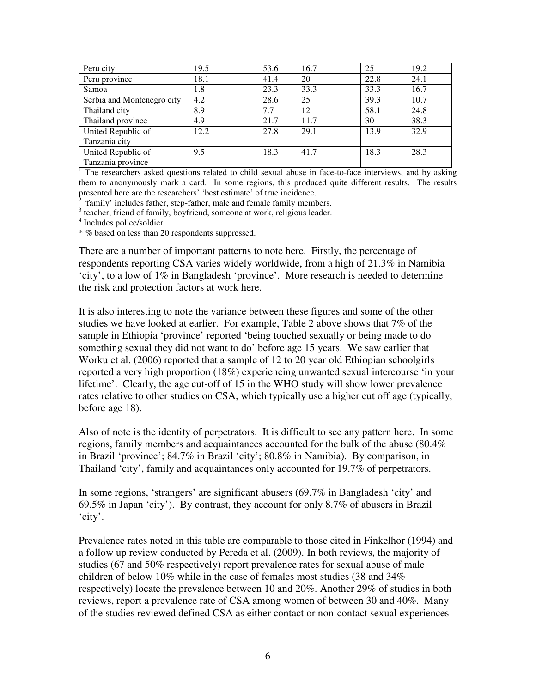| Peru city                  | 19.5 | 53.6 | 16.7 | 25   | 19.2 |
|----------------------------|------|------|------|------|------|
| Peru province              | 18.1 | 41.4 | 20   | 22.8 | 24.1 |
| Samoa                      | 1.8  | 23.3 | 33.3 | 33.3 | 16.7 |
| Serbia and Montenegro city | 4.2  | 28.6 | 25   | 39.3 | 10.7 |
| Thailand city              | 8.9  | 7.7  | 12   | 58.1 | 24.8 |
| Thailand province          | 4.9  | 21.7 | 11.7 | 30   | 38.3 |
| United Republic of         | 12.2 | 27.8 | 29.1 | 13.9 | 32.9 |
| Tanzania city              |      |      |      |      |      |
| United Republic of         | 9.5  | 18.3 | 41.7 | 18.3 | 28.3 |
| Tanzania province          |      |      |      |      |      |

<sup>1</sup> The researchers asked questions related to child sexual abuse in face-to-face interviews, and by asking them to anonymously mark a card. In some regions, this produced quite different results. The results presented here are the researchers' 'best estimate' of true incidence.

2 'family' includes father, step-father, male and female family members.

<sup>3</sup> teacher, friend of family, boyfriend, someone at work, religious leader.

4 Includes police/soldier.

\* % based on less than 20 respondents suppressed.

There are a number of important patterns to note here. Firstly, the percentage of respondents reporting CSA varies widely worldwide, from a high of 21.3% in Namibia 'city', to a low of 1% in Bangladesh 'province'. More research is needed to determine the risk and protection factors at work here.

It is also interesting to note the variance between these figures and some of the other studies we have looked at earlier. For example, Table 2 above shows that 7% of the sample in Ethiopia 'province' reported 'being touched sexually or being made to do something sexual they did not want to do' before age 15 years. We saw earlier that Worku et al. (2006) reported that a sample of 12 to 20 year old Ethiopian schoolgirls reported a very high proportion (18%) experiencing unwanted sexual intercourse 'in your lifetime'. Clearly, the age cut-off of 15 in the WHO study will show lower prevalence rates relative to other studies on CSA, which typically use a higher cut off age (typically, before age 18).

Also of note is the identity of perpetrators. It is difficult to see any pattern here. In some regions, family members and acquaintances accounted for the bulk of the abuse (80.4% in Brazil 'province'; 84.7% in Brazil 'city'; 80.8% in Namibia). By comparison, in Thailand 'city', family and acquaintances only accounted for 19.7% of perpetrators.

In some regions, 'strangers' are significant abusers (69.7% in Bangladesh 'city' and 69.5% in Japan 'city'). By contrast, they account for only 8.7% of abusers in Brazil 'city'.

Prevalence rates noted in this table are comparable to those cited in Finkelhor (1994) and a follow up review conducted by Pereda et al. (2009).In both reviews, the majority of studies (67 and 50% respectively) report prevalence rates for sexual abuse of male children of below 10% while in the case of females most studies (38 and 34% respectively) locate the prevalence between 10 and 20%. Another 29% of studies in both reviews, report a prevalence rate of CSA among women of between 30 and 40%. Many of the studies reviewed defined CSA as either contact or non-contact sexual experiences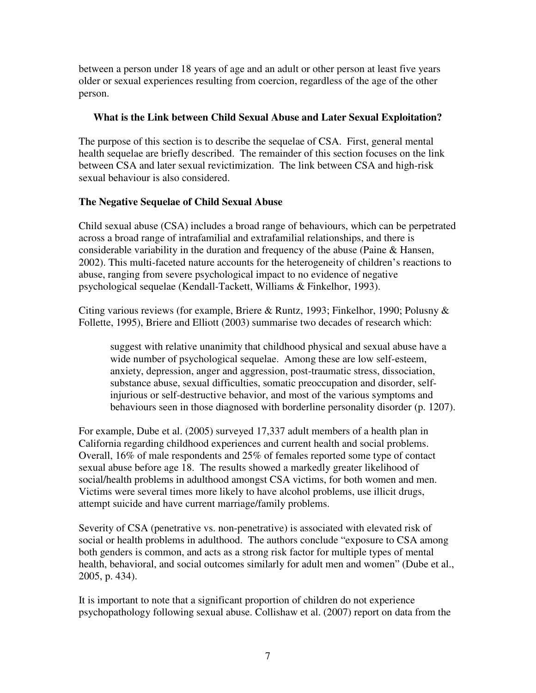between a person under 18 years of age and an adult or other person at least five years older or sexual experiences resulting from coercion, regardless of the age of the other person.

# **What is the Link between Child Sexual Abuse and Later Sexual Exploitation?**

The purpose of this section is to describe the sequelae of CSA. First, general mental health sequelae are briefly described. The remainder of this section focuses on the link between CSA and later sexual revictimization. The link between CSA and high-risk sexual behaviour is also considered.

# **The Negative Sequelae of Child Sexual Abuse**

Child sexual abuse (CSA) includes a broad range of behaviours, which can be perpetrated across a broad range of intrafamilial and extrafamilial relationships, and there is considerable variability in the duration and frequency of the abuse (Paine & Hansen, 2002). This multi-faceted nature accounts for the heterogeneity of children's reactions to abuse, ranging from severe psychological impact to no evidence of negative psychological sequelae (Kendall-Tackett, Williams & Finkelhor, 1993).

Citing various reviews (for example, Briere & Runtz, 1993; Finkelhor, 1990; Polusny & Follette, 1995), Briere and Elliott (2003) summarise two decades of research which:

suggest with relative unanimity that childhood physical and sexual abuse have a wide number of psychological sequelae. Among these are low self-esteem, anxiety, depression, anger and aggression, post-traumatic stress, dissociation, substance abuse, sexual difficulties, somatic preoccupation and disorder, selfinjurious or self-destructive behavior, and most of the various symptoms and behaviours seen in those diagnosed with borderline personality disorder (p. 1207).

For example, Dube et al. (2005) surveyed 17,337 adult members of a health plan in California regarding childhood experiences and current health and social problems. Overall, 16% of male respondents and 25% of females reported some type of contact sexual abuse before age 18. The results showed a markedly greater likelihood of social/health problems in adulthood amongst CSA victims, for both women and men. Victims were several times more likely to have alcohol problems, use illicit drugs, attempt suicide and have current marriage/family problems.

Severity of CSA (penetrative vs. non-penetrative) is associated with elevated risk of social or health problems in adulthood. The authors conclude "exposure to CSA among both genders is common, and acts as a strong risk factor for multiple types of mental health, behavioral, and social outcomes similarly for adult men and women" (Dube et al., 2005, p. 434).

It is important to note that a significant proportion of children do not experience psychopathology following sexual abuse. Collishaw et al. (2007) report on data from the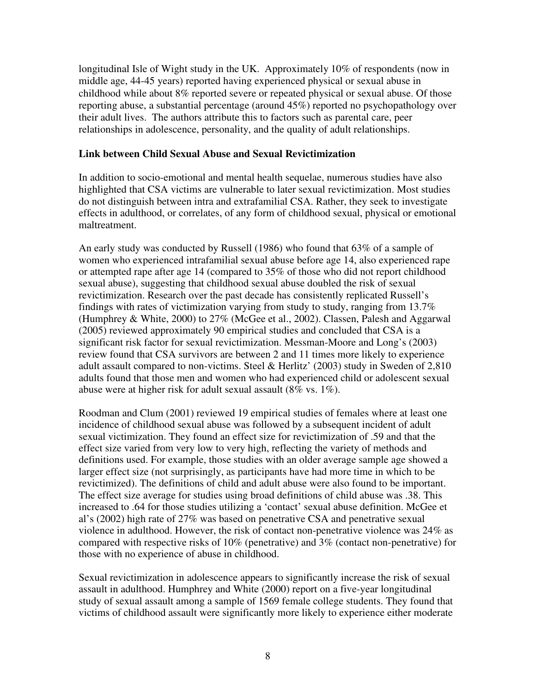longitudinal Isle of Wight study in the UK. Approximately 10% of respondents (now in middle age, 44-45 years) reported having experienced physical or sexual abuse in childhood while about 8% reported severe or repeated physical or sexual abuse. Of those reporting abuse, a substantial percentage (around 45%) reported no psychopathology over their adult lives. The authors attribute this to factors such as parental care, peer relationships in adolescence, personality, and the quality of adult relationships.

## **Link between Child Sexual Abuse and Sexual Revictimization**

In addition to socio-emotional and mental health sequelae, numerous studies have also highlighted that CSA victims are vulnerable to later sexual revictimization. Most studies do not distinguish between intra and extrafamilial CSA. Rather, they seek to investigate effects in adulthood, or correlates, of any form of childhood sexual, physical or emotional maltreatment.

An early study was conducted by Russell (1986) who found that 63% of a sample of women who experienced intrafamilial sexual abuse before age 14, also experienced rape or attempted rape after age 14 (compared to 35% of those who did not report childhood sexual abuse), suggesting that childhood sexual abuse doubled the risk of sexual revictimization. Research over the past decade has consistently replicated Russell's findings with rates of victimization varying from study to study, ranging from 13.7% (Humphrey & White, 2000) to 27% (McGee et al., 2002). Classen, Palesh and Aggarwal (2005) reviewed approximately 90 empirical studies and concluded that CSA is a significant risk factor for sexual revictimization. Messman-Moore and Long's (2003) review found that CSA survivors are between 2 and 11 times more likely to experience adult assault compared to non-victims. Steel & Herlitz' (2003) study in Sweden of 2,810 adults found that those men and women who had experienced child or adolescent sexual abuse were at higher risk for adult sexual assault (8% vs. 1%).

Roodman and Clum (2001) reviewed 19 empirical studies of females where at least one incidence of childhood sexual abuse was followed by a subsequent incident of adult sexual victimization. They found an effect size for revictimization of .59 and that the effect size varied from very low to very high, reflecting the variety of methods and definitions used. For example, those studies with an older average sample age showed a larger effect size (not surprisingly, as participants have had more time in which to be revictimized). The definitions of child and adult abuse were also found to be important. The effect size average for studies using broad definitions of child abuse was .38. This increased to .64 for those studies utilizing a 'contact' sexual abuse definition. McGee et al's (2002) high rate of 27% was based on penetrative CSA and penetrative sexual violence in adulthood. However, the risk of contact non-penetrative violence was 24% as compared with respective risks of 10% (penetrative) and 3% (contact non-penetrative) for those with no experience of abuse in childhood.

Sexual revictimization in adolescence appears to significantly increase the risk of sexual assault in adulthood. Humphrey and White (2000) report on a five-year longitudinal study of sexual assault among a sample of 1569 female college students. They found that victims of childhood assault were significantly more likely to experience either moderate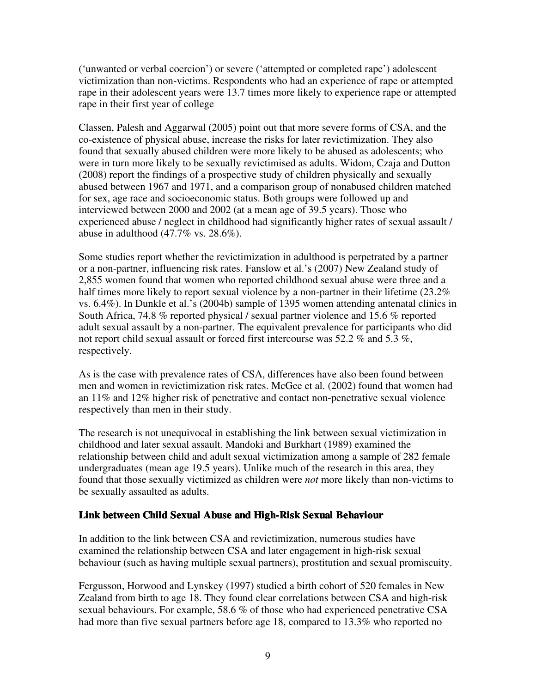('unwanted or verbal coercion') or severe ('attempted or completed rape') adolescent victimization than non-victims. Respondents who had an experience of rape or attempted rape in their adolescent years were 13.7 times more likely to experience rape or attempted rape in their first year of college

Classen, Palesh and Aggarwal (2005) point out that more severe forms of CSA, and the co-existence of physical abuse, increase the risks for later revictimization. They also found that sexually abused children were more likely to be abused as adolescents; who were in turn more likely to be sexually revictimised as adults. Widom, Czaja and Dutton (2008) report the findings of a prospective study of children physically and sexually abused between 1967 and 1971, and a comparison group of nonabused children matched for sex, age race and socioeconomic status. Both groups were followed up and interviewed between 2000 and 2002 (at a mean age of 39.5 years). Those who experienced abuse / neglect in childhood had significantly higher rates of sexual assault / abuse in adulthood  $(47.7\% \text{ vs. } 28.6\%).$ 

Some studies report whether the revictimization in adulthood is perpetrated by a partner or a non-partner, influencing risk rates. Fanslow et al.'s (2007) New Zealand study of 2,855 women found that women who reported childhood sexual abuse were three and a half times more likely to report sexual violence by a non-partner in their lifetime (23.2%) vs. 6.4%). In Dunkle et al.'s (2004b) sample of 1395 women attending antenatal clinics in South Africa, 74.8 % reported physical / sexual partner violence and 15.6 % reported adult sexual assault by a non-partner. The equivalent prevalence for participants who did not report child sexual assault or forced first intercourse was 52.2 % and 5.3 %, respectively.

As is the case with prevalence rates of CSA, differences have also been found between men and women in revictimization risk rates. McGee et al. (2002) found that women had an  $11\%$  and  $12\%$  higher risk of penetrative and contact non-penetrative sexual violence respectively than men in their study.

The research is not unequivocal in establishing the link between sexual victimization in childhood and later sexual assault. Mandoki and Burkhart (1989) examined the relationship between child and adult sexual victimization among a sample of 282 female undergraduates (mean age 19.5 years). Unlike much of the research in this area, they found that those sexually victimized as children were *not* more likely than non-victims to be sexually assaulted as adults.

# **Link between Child Sexual Abuse and High-Risk Sexual Behaviour**

In addition to the link between CSA and revictimization, numerous studies have examined the relationship between CSA and later engagement in high-risk sexual behaviour (such as having multiple sexual partners), prostitution and sexual promiscuity.

Fergusson, Horwood and Lynskey (1997) studied a birth cohort of 520 females in New Zealand from birth to age 18. They found clear correlations between CSA and high-risk sexual behaviours. For example, 58.6 % of those who had experienced penetrative CSA had more than five sexual partners before age 18, compared to 13.3% who reported no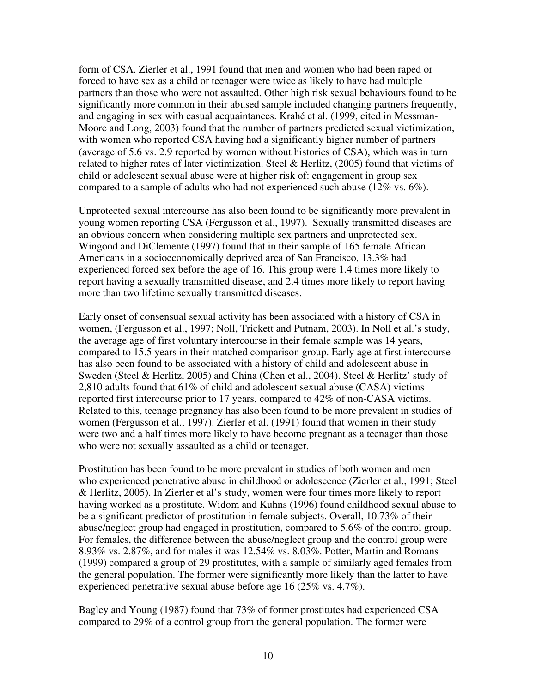form of CSA. Zierler et al., 1991 found that men and women who had been raped or forced to have sex as a child or teenager were twice as likely to have had multiple partners than those who were not assaulted. Other high risk sexual behaviours found to be significantly more common in their abused sample included changing partners frequently, and engaging in sex with casual acquaintances. Krahé et al. (1999, cited in Messman-Moore and Long, 2003) found that the number of partners predicted sexual victimization, with women who reported CSA having had a significantly higher number of partners (average of 5.6 vs. 2.9 reported by women without histories of CSA), which was in turn related to higher rates of later victimization. Steel  $\&$  Herlitz, (2005) found that victims of child or adolescent sexual abuse were at higher risk of: engagement in group sex compared to a sample of adults who had not experienced such abuse (12% vs. 6%).

Unprotected sexual intercourse has also been found to be significantly more prevalent in young women reporting CSA (Fergusson et al., 1997). Sexually transmitted diseases are an obvious concern when considering multiple sex partners and unprotected sex. Wingood and DiClemente (1997) found that in their sample of 165 female African Americans in a socioeconomically deprived area of San Francisco, 13.3% had experienced forced sex before the age of 16. This group were 1.4 times more likely to report having a sexually transmitted disease, and 2.4 times more likely to report having more than two lifetime sexually transmitted diseases.

Early onset of consensual sexual activity has been associated with a history of CSA in women, (Fergusson et al., 1997; Noll, Trickett and Putnam, 2003). In Noll et al.'s study, the average age of first voluntary intercourse in their female sample was 14 years, compared to 15.5 years in their matched comparison group. Early age at first intercourse has also been found to be associated with a history of child and adolescent abuse in Sweden (Steel & Herlitz, 2005) and China (Chen et al., 2004). Steel & Herlitz' study of 2,810 adults found that 61% of child and adolescent sexual abuse (CASA) victims reported first intercourse prior to 17 years, compared to 42% of non-CASA victims. Related to this, teenage pregnancy has also been found to be more prevalent in studies of women (Fergusson et al., 1997). Zierler et al. (1991) found that women in their study were two and a half times more likely to have become pregnant as a teenager than those who were not sexually assaulted as a child or teenager.

Prostitution has been found to be more prevalent in studies of both women and men who experienced penetrative abuse in childhood or adolescence (Zierler et al., 1991; Steel & Herlitz, 2005). In Zierler et al's study, women were four times more likely to report having worked as a prostitute. Widom and Kuhns (1996) found childhood sexual abuse to be a significant predictor of prostitution in female subjects. Overall, 10.73% of their abuse/neglect group had engaged in prostitution, compared to 5.6% of the control group. For females, the difference between the abuse/neglect group and the control group were 8.93% vs. 2.87%, and for males it was 12.54% vs. 8.03%. Potter, Martin and Romans (1999) compared a group of 29 prostitutes, with a sample of similarly aged females from the general population. The former were significantly more likely than the latter to have experienced penetrative sexual abuse before age 16 (25% vs. 4.7%).

Bagley and Young (1987) found that 73% of former prostitutes had experienced CSA compared to 29% of a control group from the general population. The former were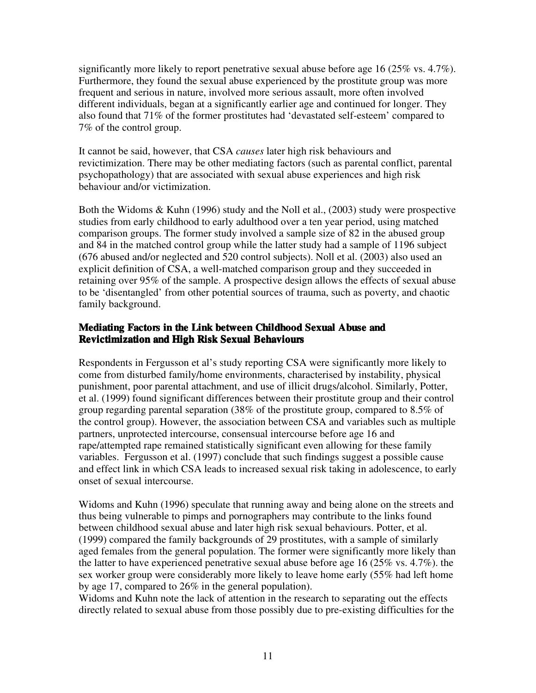significantly more likely to report penetrative sexual abuse before age 16 (25% vs.  $4.7\%$ ). Furthermore, they found the sexual abuse experienced by the prostitute group was more frequent and serious in nature, involved more serious assault, more often involved different individuals, began at a significantly earlier age and continued for longer. They also found that 71% of the former prostitutes had 'devastated self-esteem' compared to 7% of the control group.

It cannot be said, however, that CSA *causes* later high risk behaviours and revictimization. There may be other mediating factors (such as parental conflict, parental psychopathology) that are associated with sexual abuse experiences and high risk behaviour and/or victimization.

Both the Widoms & Kuhn (1996) study and the Noll et al., (2003) study were prospective studies from early childhood to early adulthood over a ten year period, using matched comparison groups. The former study involved a sample size of 82 in the abused group and 84 in the matched control group while the latter study had a sample of 1196 subject (676 abused and/or neglected and 520 control subjects). Noll et al. (2003) also used an explicit definition of CSA, a well-matched comparison group and they succeeded in retaining over 95% of the sample. A prospective design allows the effects of sexual abuse to be 'disentangled' from other potential sources of trauma, such as poverty, and chaotic family background.

# **Mediating Factors in the Link between Childhood Sexual Abuse and Revictimization and High Risk Sexual Behaviours**

Respondents in Fergusson et al's study reporting CSA were significantly more likely to come from disturbed family/home environments, characterised by instability, physical punishment, poor parental attachment, and use of illicit drugs/alcohol. Similarly, Potter, et al. (1999) found significant differences between their prostitute group and their control group regarding parental separation (38% of the prostitute group, compared to 8.5% of the control group). However, the association between CSA and variables such as multiple partners, unprotected intercourse, consensual intercourse before age 16 and rape/attempted rape remained statistically significant even allowing for these family variables. Fergusson et al. (1997) conclude that such findings suggest a possible cause and effect link in which CSA leads to increased sexual risk taking in adolescence, to early onset of sexual intercourse.

Widoms and Kuhn (1996) speculate that running away and being alone on the streets and thus being vulnerable to pimps and pornographers may contribute to the links found between childhood sexual abuse and later high risk sexual behaviours. Potter, et al. (1999) compared the family backgrounds of 29 prostitutes, with a sample of similarly aged females from the general population. The former were significantly more likely than the latter to have experienced penetrative sexual abuse before age 16 (25% vs. 4.7%). the sex worker group were considerably more likely to leave home early (55% had left home by age 17, compared to 26% in the general population).

Widoms and Kuhn note the lack of attention in the research to separating out the effects directly related to sexual abuse from those possibly due to pre-existing difficulties for the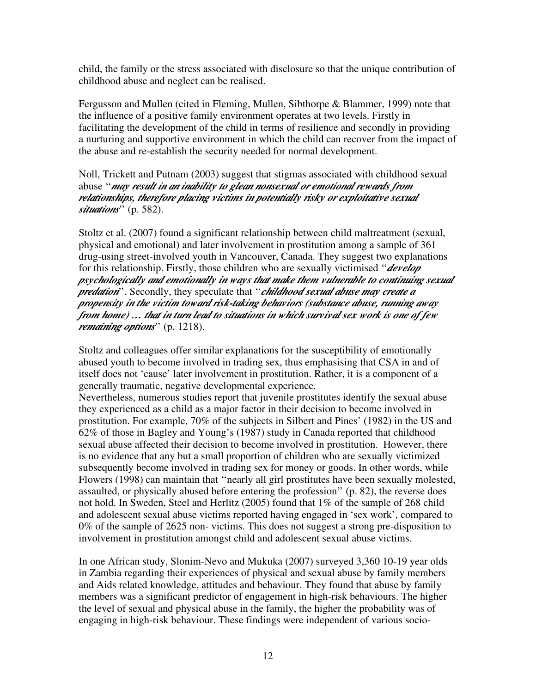child, the family or the stress associated with disclosure so that the unique contribution of childhood abuse and neglect can be realised.

Fergusson and Mullen (cited in Fleming, Mullen, Sibthorpe & Blammer, 1999) note that the influence of a positive family environment operates at two levels. Firstly in facilitating the development of the child in terms of resilience and secondly in providing a nurturing and supportive environment in which the child can recover from the impact of the abuse and re-establish the security needed for normal development.

Noll, Trickett and Putnam (2003) suggest that stigmas associated with childhood sexual abuse ''*may result in an inability to glean nonsexual or emotional rewards from relationships, therefore placing victims in potentially risky or exploitative sexual situations*'' (p. 582).

Stoltz et al. (2007) found a significant relationship between child maltreatment (sexual, physical and emotional) and later involvement in prostitution among a sample of 361 drug-using street-involved youth in Vancouver, Canada. They suggest two explanations for this relationship. Firstly, those children who are sexually victimised ''*develop psychologically and emotionally in ways that make them vulnerable to continuing sexual predation*''. Secondly, they speculate that ''*childhood sexual abuse may create a propensity in the victim toward risk-taking behaviors (substance abuse, running away from home) … that in turn lead to situations in which survival sex work is one of few remaining options*'' (p. 1218).

Stoltz and colleagues offer similar explanations for the susceptibility of emotionally abused youth to become involved in trading sex, thus emphasising that CSA in and of itself does not 'cause' later involvement in prostitution. Rather, it is a component of a generally traumatic, negative developmental experience.

Nevertheless, numerous studies report that juvenile prostitutes identify the sexual abuse they experienced as a child as a major factor in their decision to become involved in prostitution. For example, 70% of the subjects in Silbert and Pines' (1982) in the US and 62% of those in Bagley and Young's (1987) study in Canada reported that childhood sexual abuse affected their decision to become involved in prostitution. However, there is no evidence that any but a small proportion of children who are sexually victimized subsequently become involved in trading sex for money or goods. In other words, while Flowers (1998) can maintain that ''nearly all girl prostitutes have been sexually molested, assaulted, or physically abused before entering the profession'' (p. 82), the reverse does not hold. In Sweden, Steel and Herlitz (2005) found that 1% of the sample of 268 child and adolescent sexual abuse victims reported having engaged in 'sex work', compared to 0% of the sample of 2625 non- victims. This does not suggest a strong pre-disposition to involvement in prostitution amongst child and adolescent sexual abuse victims.

In one African study, Slonim-Nevo and Mukuka (2007) surveyed 3,360 10-19 year olds in Zambia regarding their experiences of physical and sexual abuse by family members and Aids related knowledge, attitudes and behaviour. They found that abuse by family members was a significant predictor of engagement in high-risk behaviours. The higher the level of sexual and physical abuse in the family, the higher the probability was of engaging in high-risk behaviour. These findings were independent of various socio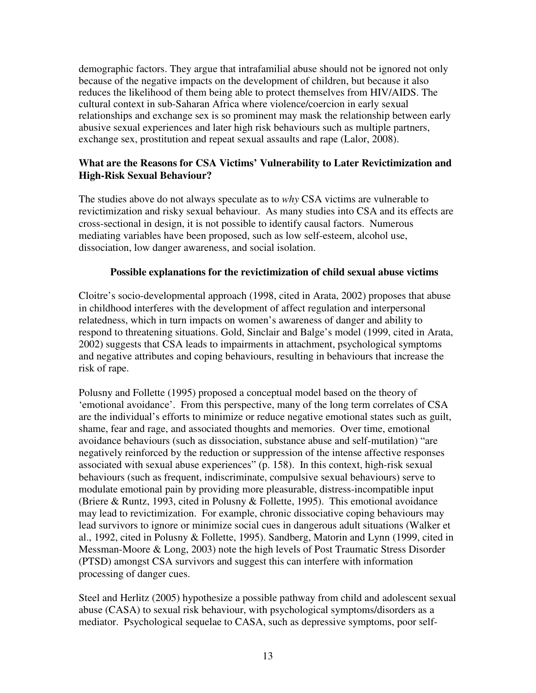demographic factors. They argue that intrafamilial abuse should not be ignored not only because of the negative impacts on the development of children, but because it also reduces the likelihood of them being able to protect themselves from HIV/AIDS. The cultural context in sub-Saharan Africa where violence/coercion in early sexual relationships and exchange sex is so prominent may mask the relationship between early abusive sexual experiences and later high risk behaviours such as multiple partners, exchange sex, prostitution and repeat sexual assaults and rape (Lalor, 2008).

# **What are the Reasons for CSA Victims' Vulnerability to Later Revictimization and High-Risk Sexual Behaviour?**

The studies above do not always speculate as to *why* CSA victims are vulnerable to revictimization and risky sexual behaviour. As many studies into CSA and its effects are cross-sectional in design, it is not possible to identify causal factors. Numerous mediating variables have been proposed, such as low self-esteem, alcohol use, dissociation, low danger awareness, and social isolation.

# **Possible explanations for the revictimization of child sexual abuse victims**

Cloitre's socio-developmental approach (1998, cited in Arata, 2002) proposes that abuse in childhood interferes with the development of affect regulation and interpersonal relatedness, which in turn impacts on women's awareness of danger and ability to respond to threatening situations. Gold, Sinclair and Balge's model (1999, cited in Arata, 2002) suggests that CSA leads to impairments in attachment, psychological symptoms and negative attributes and coping behaviours, resulting in behaviours that increase the risk of rape.

Polusny and Follette (1995) proposed a conceptual model based on the theory of 'emotional avoidance'. From this perspective, many of the long term correlates of CSA are the individual's efforts to minimize or reduce negative emotional states such as guilt, shame, fear and rage, and associated thoughts and memories. Over time, emotional avoidance behaviours (such as dissociation, substance abuse and self-mutilation) "are negatively reinforced by the reduction or suppression of the intense affective responses associated with sexual abuse experiences" (p. 158). In this context, high-risk sexual behaviours (such as frequent, indiscriminate, compulsive sexual behaviours) serve to modulate emotional pain by providing more pleasurable, distress-incompatible input (Briere & Runtz, 1993, cited in Polusny & Follette, 1995). This emotional avoidance may lead to revictimization. For example, chronic dissociative coping behaviours may lead survivors to ignore or minimize social cues in dangerous adult situations (Walker et al., 1992, cited in Polusny & Follette, 1995). Sandberg, Matorin and Lynn (1999, cited in Messman-Moore & Long, 2003) note the high levels of Post Traumatic Stress Disorder (PTSD) amongst CSA survivors and suggest this can interfere with information processing of danger cues.

Steel and Herlitz (2005) hypothesize a possible pathway from child and adolescent sexual abuse (CASA) to sexual risk behaviour, with psychological symptoms/disorders as a mediator. Psychological sequelae to CASA, such as depressive symptoms, poor self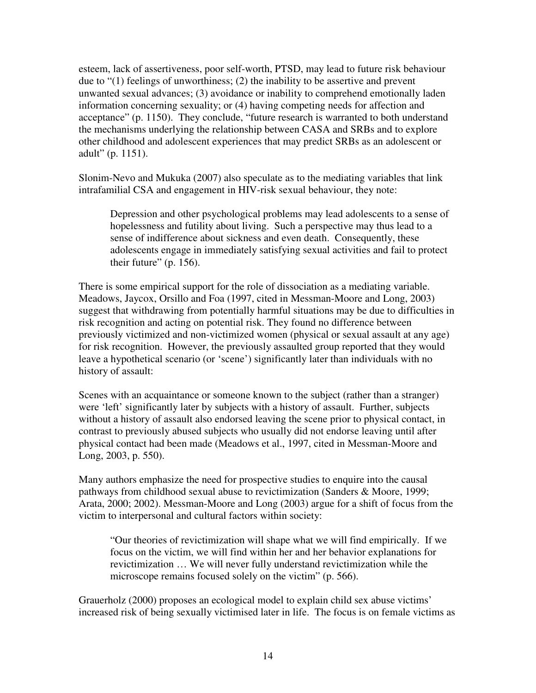esteem, lack of assertiveness, poor self-worth, PTSD, may lead to future risk behaviour due to "(1) feelings of unworthiness; (2) the inability to be assertive and prevent unwanted sexual advances; (3) avoidance or inability to comprehend emotionally laden information concerning sexuality; or (4) having competing needs for affection and acceptance" (p. 1150). They conclude, "future research is warranted to both understand the mechanisms underlying the relationship between CASA and SRBs and to explore other childhood and adolescent experiences that may predict SRBs as an adolescent or adult" (p. 1151).

Slonim-Nevo and Mukuka (2007) also speculate as to the mediating variables that link intrafamilial CSA and engagement in HIV-risk sexual behaviour, they note:

Depression and other psychological problems may lead adolescents to a sense of hopelessness and futility about living. Such a perspective may thus lead to a sense of indifference about sickness and even death. Consequently, these adolescents engage in immediately satisfying sexual activities and fail to protect their future" (p. 156).

There is some empirical support for the role of dissociation as a mediating variable. Meadows, Jaycox, Orsillo and Foa (1997, cited in Messman-Moore and Long, 2003) suggest that withdrawing from potentially harmful situations may be due to difficulties in risk recognition and acting on potential risk. They found no difference between previously victimized and non-victimized women (physical or sexual assault at any age) for risk recognition. However, the previously assaulted group reported that they would leave a hypothetical scenario (or 'scene') significantly later than individuals with no history of assault:

Scenes with an acquaintance or someone known to the subject (rather than a stranger) were 'left' significantly later by subjects with a history of assault. Further, subjects without a history of assault also endorsed leaving the scene prior to physical contact, in contrast to previously abused subjects who usually did not endorse leaving until after physical contact had been made (Meadows et al., 1997, cited in Messman-Moore and Long, 2003, p. 550).

Many authors emphasize the need for prospective studies to enquire into the causal pathways from childhood sexual abuse to revictimization (Sanders & Moore, 1999; Arata, 2000; 2002). Messman-Moore and Long (2003) argue for a shift of focus from the victim to interpersonal and cultural factors within society:

"Our theories of revictimization will shape what we will find empirically. If we focus on the victim, we will find within her and her behavior explanations for revictimization … We will never fully understand revictimization while the microscope remains focused solely on the victim" (p. 566).

Grauerholz (2000) proposes an ecological model to explain child sex abuse victims' increased risk of being sexually victimised later in life. The focus is on female victims as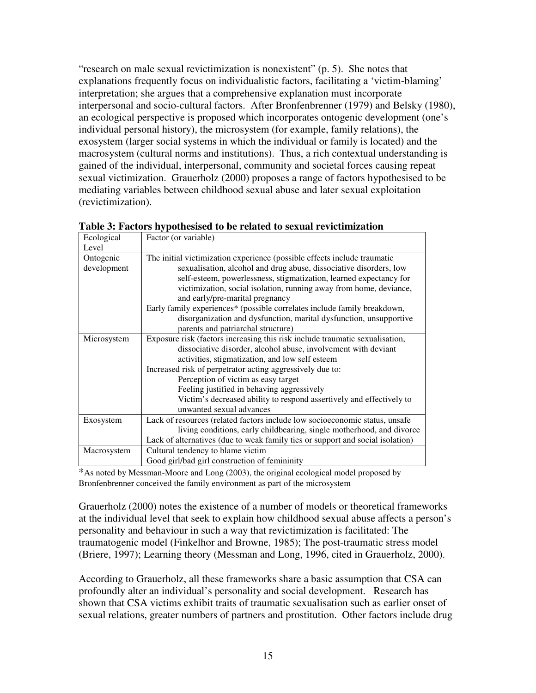"research on male sexual revictimization is nonexistent" (p. 5). She notes that explanations frequently focus on individualistic factors, facilitating a 'victim-blaming' interpretation; she argues that a comprehensive explanation must incorporate interpersonal and socio-cultural factors. After Bronfenbrenner (1979) and Belsky (1980), an ecological perspective is proposed which incorporates ontogenic development (one's individual personal history), the microsystem (for example, family relations), the exosystem (larger social systems in which the individual or family is located) and the macrosystem (cultural norms and institutions). Thus, a rich contextual understanding is gained of the individual, interpersonal, community and societal forces causing repeat sexual victimization. Grauerholz (2000) proposes a range of factors hypothesised to be mediating variables between childhood sexual abuse and later sexual exploitation (revictimization).

| Ecological  | Factor (or variable)                                                           |
|-------------|--------------------------------------------------------------------------------|
| Level       |                                                                                |
| Ontogenic   | The initial victimization experience (possible effects include traumatic       |
| development | sexualisation, alcohol and drug abuse, dissociative disorders, low             |
|             | self-esteem, powerlessness, stigmatization, learned expectancy for             |
|             | victimization, social isolation, running away from home, deviance,             |
|             | and early/pre-marital pregnancy                                                |
|             | Early family experiences* (possible correlates include family breakdown,       |
|             | disorganization and dysfunction, marital dysfunction, unsupportive             |
|             | parents and patriarchal structure)                                             |
| Microsystem | Exposure risk (factors increasing this risk include traumatic sexualisation,   |
|             | dissociative disorder, alcohol abuse, involvement with deviant                 |
|             | activities, stigmatization, and low self esteem                                |
|             | Increased risk of perpetrator acting aggressively due to:                      |
|             | Perception of victim as easy target                                            |
|             | Feeling justified in behaving aggressively                                     |
|             | Victim's decreased ability to respond assertively and effectively to           |
|             | unwanted sexual advances                                                       |
| Exosystem   | Lack of resources (related factors include low socioeconomic status, unsafe.)  |
|             | living conditions, early childbearing, single motherhood, and divorce          |
|             | Lack of alternatives (due to weak family ties or support and social isolation) |
| Macrosystem | Cultural tendency to blame victim                                              |
|             | Good girl/bad girl construction of femininity                                  |

|            | Table 3: Factors hypothesised to be related to sexual revictimization |
|------------|-----------------------------------------------------------------------|
| Ecological | $\Box$ Factor (or variable)                                           |

\*As noted by Messman-Moore and Long (2003), the original ecological model proposed by Bronfenbrenner conceived the family environment as part of the microsystem

Grauerholz (2000) notes the existence of a number of models or theoretical frameworks at the individual level that seek to explain how childhood sexual abuse affects a person's personality and behaviour in such a way that revictimization is facilitated: The traumatogenic model (Finkelhor and Browne, 1985); The post-traumatic stress model (Briere, 1997); Learning theory (Messman and Long, 1996, cited in Grauerholz, 2000).

According to Grauerholz, all these frameworks share a basic assumption that CSA can profoundly alter an individual's personality and social development. Research has shown that CSA victims exhibit traits of traumatic sexualisation such as earlier onset of sexual relations, greater numbers of partners and prostitution. Other factors include drug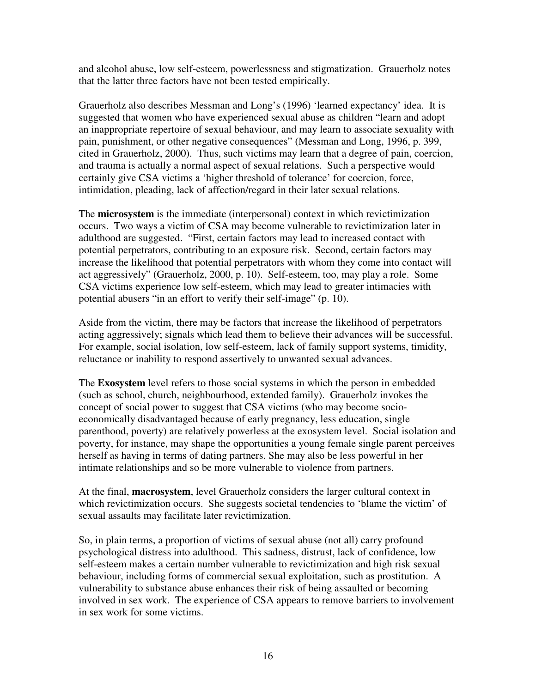and alcohol abuse, low self-esteem, powerlessness and stigmatization. Grauerholz notes that the latter three factors have not been tested empirically.

Grauerholz also describes Messman and Long's (1996) 'learned expectancy' idea. It is suggested that women who have experienced sexual abuse as children "learn and adopt an inappropriate repertoire of sexual behaviour, and may learn to associate sexuality with pain, punishment, or other negative consequences" (Messman and Long, 1996, p. 399, cited in Grauerholz, 2000). Thus, such victims may learn that a degree of pain, coercion, and trauma is actually a normal aspect of sexual relations. Such a perspective would certainly give CSA victims a 'higher threshold of tolerance' for coercion, force, intimidation, pleading, lack of affection/regard in their later sexual relations.

The **microsystem** is the immediate (interpersonal) context in which revictimization occurs. Two ways a victim of CSA may become vulnerable to revictimization later in adulthood are suggested. "First, certain factors may lead to increased contact with potential perpetrators, contributing to an exposure risk. Second, certain factors may increase the likelihood that potential perpetrators with whom they come into contact will act aggressively" (Grauerholz, 2000, p. 10). Self-esteem, too, may play a role. Some CSA victims experience low self-esteem, which may lead to greater intimacies with potential abusers "in an effort to verify their self-image" (p. 10).

Aside from the victim, there may be factors that increase the likelihood of perpetrators acting aggressively; signals which lead them to believe their advances will be successful. For example, social isolation, low self-esteem, lack of family support systems, timidity, reluctance or inability to respond assertively to unwanted sexual advances.

The **Exosystem** level refers to those social systems in which the person in embedded (such as school, church, neighbourhood, extended family). Grauerholz invokes the concept of social power to suggest that CSA victims (who may become socioeconomically disadvantaged because of early pregnancy, less education, single parenthood, poverty) are relatively powerless at the exosystem level. Social isolation and poverty, for instance, may shape the opportunities a young female single parent perceives herself as having in terms of dating partners. She may also be less powerful in her intimate relationships and so be more vulnerable to violence from partners.

At the final, **macrosystem**, level Grauerholz considers the larger cultural context in which revictimization occurs. She suggests societal tendencies to 'blame the victim' of sexual assaults may facilitate later revictimization.

So, in plain terms, a proportion of victims of sexual abuse (not all) carry profound psychological distress into adulthood. This sadness, distrust, lack of confidence, low self-esteem makes a certain number vulnerable to revictimization and high risk sexual behaviour, including forms of commercial sexual exploitation, such as prostitution. A vulnerability to substance abuse enhances their risk of being assaulted or becoming involved in sex work. The experience of CSA appears to remove barriers to involvement in sex work for some victims.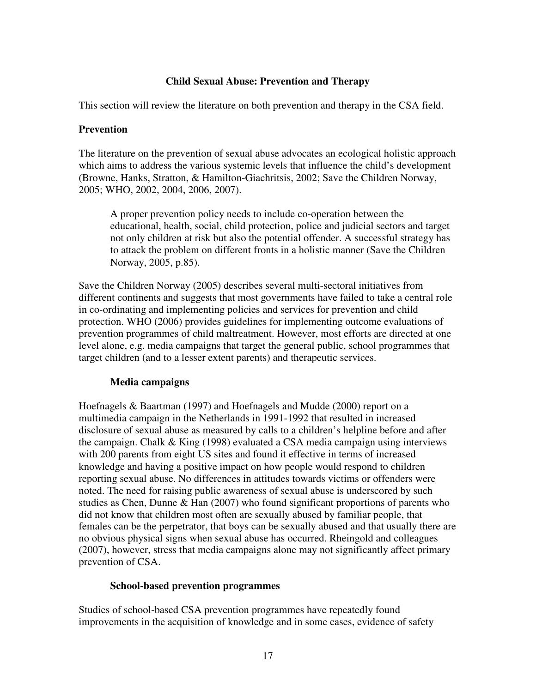# **Child Sexual Abuse: Prevention and Therapy**

This section will review the literature on both prevention and therapy in the CSA field.

#### **Prevention**

The literature on the prevention of sexual abuse advocates an ecological holistic approach which aims to address the various systemic levels that influence the child's development (Browne, Hanks, Stratton, & Hamilton-Giachritsis, 2002; Save the Children Norway, 2005; WHO, 2002, 2004, 2006, 2007).

A proper prevention policy needs to include co-operation between the educational, health, social, child protection, police and judicial sectors and target not only children at risk but also the potential offender. A successful strategy has to attack the problem on different fronts in a holistic manner (Save the Children Norway, 2005, p.85).

Save the Children Norway (2005) describes several multi-sectoral initiatives from different continents and suggests that most governments have failed to take a central role in co-ordinating and implementing policies and services for prevention and child protection. WHO (2006) provides guidelines for implementing outcome evaluations of prevention programmes of child maltreatment. However, most efforts are directed at one level alone, e.g. media campaigns that target the general public, school programmes that target children (and to a lesser extent parents) and therapeutic services.

#### **Media campaigns**

Hoefnagels & Baartman (1997) and Hoefnagels and Mudde (2000) report on a multimedia campaign in the Netherlands in 1991-1992 that resulted in increased disclosure of sexual abuse as measured by calls to a children's helpline before and after the campaign. Chalk & King (1998) evaluated a CSA media campaign using interviews with 200 parents from eight US sites and found it effective in terms of increased knowledge and having a positive impact on how people would respond to children reporting sexual abuse. No differences in attitudes towards victims or offenders were noted. The need for raising public awareness of sexual abuse is underscored by such studies as Chen, Dunne & Han (2007) who found significant proportions of parents who did not know that children most often are sexually abused by familiar people, that females can be the perpetrator, that boys can be sexually abused and that usually there are no obvious physical signs when sexual abuse has occurred. Rheingold and colleagues (2007), however, stress that media campaigns alone may not significantly affect primary prevention of CSA.

#### **School-based prevention programmes**

Studies of school-based CSA prevention programmes have repeatedly found improvements in the acquisition of knowledge and in some cases, evidence of safety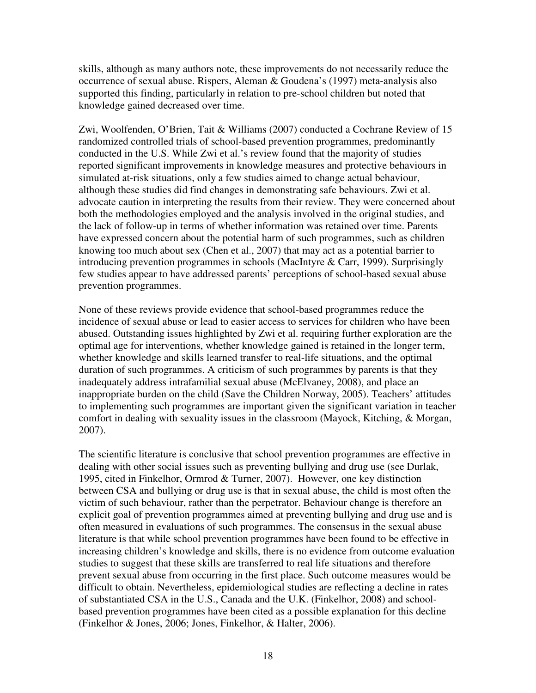skills, although as many authors note, these improvements do not necessarily reduce the occurrence of sexual abuse. Rispers, Aleman & Goudena's (1997) meta-analysis also supported this finding, particularly in relation to pre-school children but noted that knowledge gained decreased over time.

Zwi, Woolfenden, O'Brien, Tait & Williams (2007) conducted a Cochrane Review of 15 randomized controlled trials of school-based prevention programmes, predominantly conducted in the U.S. While Zwi et al.'s review found that the majority of studies reported significant improvements in knowledge measures and protective behaviours in simulated at-risk situations, only a few studies aimed to change actual behaviour, although these studies did find changes in demonstrating safe behaviours. Zwi et al. advocate caution in interpreting the results from their review. They were concerned about both the methodologies employed and the analysis involved in the original studies, and the lack of follow-up in terms of whether information was retained over time. Parents have expressed concern about the potential harm of such programmes, such as children knowing too much about sex (Chen et al., 2007) that may act as a potential barrier to introducing prevention programmes in schools (MacIntyre & Carr, 1999). Surprisingly few studies appear to have addressed parents' perceptions of school-based sexual abuse prevention programmes.

None of these reviews provide evidence that school-based programmes reduce the incidence of sexual abuse or lead to easier access to services for children who have been abused. Outstanding issues highlighted by Zwi et al. requiring further exploration are the optimal age for interventions, whether knowledge gained is retained in the longer term, whether knowledge and skills learned transfer to real-life situations, and the optimal duration of such programmes. A criticism of such programmes by parents is that they inadequately address intrafamilial sexual abuse (McElvaney, 2008), and place an inappropriate burden on the child (Save the Children Norway, 2005). Teachers' attitudes to implementing such programmes are important given the significant variation in teacher comfort in dealing with sexuality issues in the classroom (Mayock, Kitching, & Morgan, 2007).

The scientific literature is conclusive that school prevention programmes are effective in dealing with other social issues such as preventing bullying and drug use (see Durlak, 1995, cited in Finkelhor, Ormrod & Turner, 2007). However, one key distinction between CSA and bullying or drug use is that in sexual abuse, the child is most often the victim of such behaviour, rather than the perpetrator. Behaviour change is therefore an explicit goal of prevention programmes aimed at preventing bullying and drug use and is often measured in evaluations of such programmes. The consensus in the sexual abuse literature is that while school prevention programmes have been found to be effective in increasing children's knowledge and skills, there is no evidence from outcome evaluation studies to suggest that these skills are transferred to real life situations and therefore prevent sexual abuse from occurring in the first place. Such outcome measures would be difficult to obtain. Nevertheless, epidemiological studies are reflecting a decline in rates of substantiated CSA in the U.S., Canada and the U.K. (Finkelhor, 2008) and schoolbased prevention programmes have been cited as a possible explanation for this decline (Finkelhor & Jones, 2006; Jones, Finkelhor, & Halter, 2006).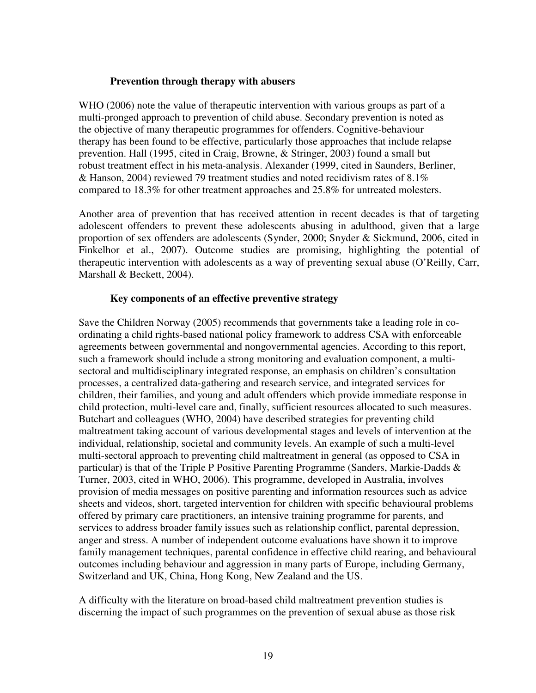# **Prevention through therapy with abusers**

WHO (2006) note the value of therapeutic intervention with various groups as part of a multi-pronged approach to prevention of child abuse. Secondary prevention is noted as the objective of many therapeutic programmes for offenders. Cognitive-behaviour therapy has been found to be effective, particularly those approaches that include relapse prevention. Hall (1995, cited in Craig, Browne, & Stringer, 2003) found a small but robust treatment effect in his meta-analysis. Alexander (1999, cited in Saunders, Berliner, & Hanson, 2004) reviewed 79 treatment studies and noted recidivism rates of 8.1% compared to 18.3% for other treatment approaches and 25.8% for untreated molesters.

Another area of prevention that has received attention in recent decades is that of targeting adolescent offenders to prevent these adolescents abusing in adulthood, given that a large proportion of sex offenders are adolescents (Synder, 2000; Snyder & Sickmund, 2006, cited in Finkelhor et al., 2007). Outcome studies are promising, highlighting the potential of therapeutic intervention with adolescents as a way of preventing sexual abuse (O'Reilly, Carr, Marshall & Beckett, 2004).

# **Key components of an effective preventive strategy**

Save the Children Norway (2005) recommends that governments take a leading role in coordinating a child rights-based national policy framework to address CSA with enforceable agreements between governmental and nongovernmental agencies. According to this report, such a framework should include a strong monitoring and evaluation component, a multisectoral and multidisciplinary integrated response, an emphasis on children's consultation processes, a centralized data-gathering and research service, and integrated services for children, their families, and young and adult offenders which provide immediate response in child protection, multi-level care and, finally, sufficient resources allocated to such measures. Butchart and colleagues (WHO, 2004) have described strategies for preventing child maltreatment taking account of various developmental stages and levels of intervention at the individual, relationship, societal and community levels. An example of such a multi-level multi-sectoral approach to preventing child maltreatment in general (as opposed to CSA in particular) is that of the Triple P Positive Parenting Programme (Sanders, Markie-Dadds & Turner, 2003, cited in WHO, 2006). This programme, developed in Australia, involves provision of media messages on positive parenting and information resources such as advice sheets and videos, short, targeted intervention for children with specific behavioural problems offered by primary care practitioners, an intensive training programme for parents, and services to address broader family issues such as relationship conflict, parental depression, anger and stress. A number of independent outcome evaluations have shown it to improve family management techniques, parental confidence in effective child rearing, and behavioural outcomes including behaviour and aggression in many parts of Europe, including Germany, Switzerland and UK, China, Hong Kong, New Zealand and the US.

A difficulty with the literature on broad-based child maltreatment prevention studies is discerning the impact of such programmes on the prevention of sexual abuse as those risk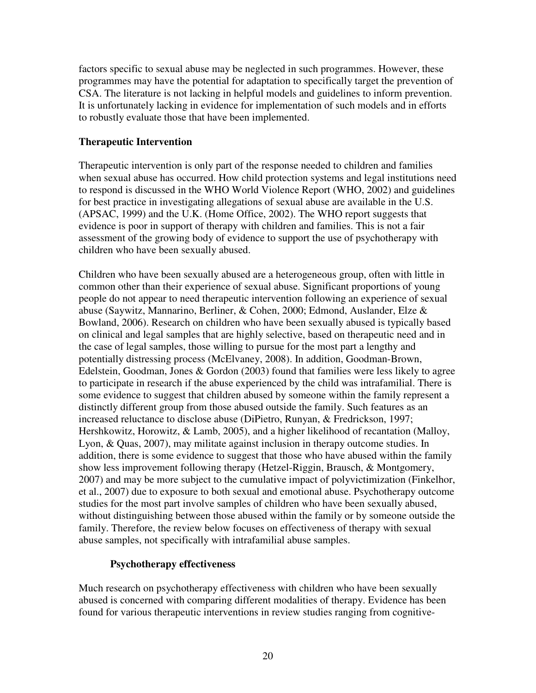factors specific to sexual abuse may be neglected in such programmes. However, these programmes may have the potential for adaptation to specifically target the prevention of CSA. The literature is not lacking in helpful models and guidelines to inform prevention. It is unfortunately lacking in evidence for implementation of such models and in efforts to robustly evaluate those that have been implemented.

# **Therapeutic Intervention**

Therapeutic intervention is only part of the response needed to children and families when sexual abuse has occurred. How child protection systems and legal institutions need to respond is discussed in the WHO World Violence Report (WHO, 2002) and guidelines for best practice in investigating allegations of sexual abuse are available in the U.S. (APSAC, 1999) and the U.K. (Home Office, 2002). The WHO report suggests that evidence is poor in support of therapy with children and families. This is not a fair assessment of the growing body of evidence to support the use of psychotherapy with children who have been sexually abused.

Children who have been sexually abused are a heterogeneous group, often with little in common other than their experience of sexual abuse. Significant proportions of young people do not appear to need therapeutic intervention following an experience of sexual abuse (Saywitz, Mannarino, Berliner, & Cohen, 2000; Edmond, Auslander, Elze & Bowland, 2006). Research on children who have been sexually abused is typically based on clinical and legal samples that are highly selective, based on therapeutic need and in the case of legal samples, those willing to pursue for the most part a lengthy and potentially distressing process (McElvaney, 2008). In addition, Goodman-Brown, Edelstein, Goodman, Jones & Gordon (2003) found that families were less likely to agree to participate in research if the abuse experienced by the child was intrafamilial. There is some evidence to suggest that children abused by someone within the family represent a distinctly different group from those abused outside the family. Such features as an increased reluctance to disclose abuse (DiPietro, Runyan, & Fredrickson, 1997; Hershkowitz, Horowitz, & Lamb, 2005), and a higher likelihood of recantation (Malloy, Lyon, & Quas, 2007), may militate against inclusion in therapy outcome studies. In addition, there is some evidence to suggest that those who have abused within the family show less improvement following therapy (Hetzel-Riggin, Brausch, & Montgomery, 2007) and may be more subject to the cumulative impact of polyvictimization (Finkelhor, et al., 2007) due to exposure to both sexual and emotional abuse. Psychotherapy outcome studies for the most part involve samples of children who have been sexually abused, without distinguishing between those abused within the family or by someone outside the family. Therefore, the review below focuses on effectiveness of therapy with sexual abuse samples, not specifically with intrafamilial abuse samples.

#### **Psychotherapy effectiveness**

Much research on psychotherapy effectiveness with children who have been sexually abused is concerned with comparing different modalities of therapy. Evidence has been found for various therapeutic interventions in review studies ranging from cognitive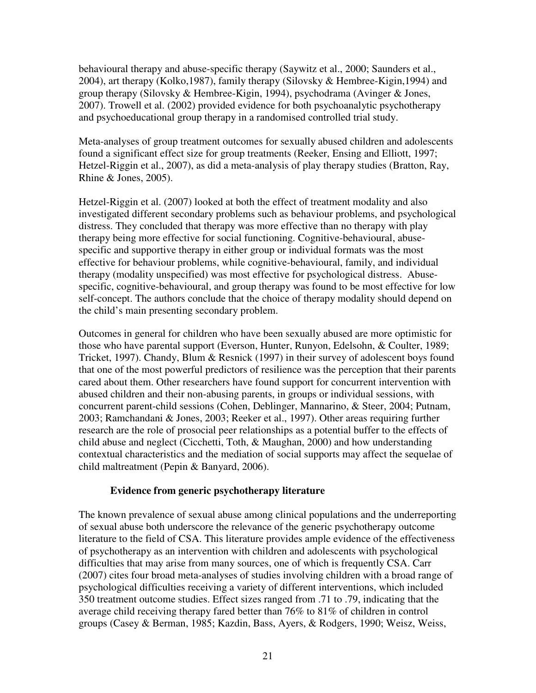behavioural therapy and abuse-specific therapy (Saywitz et al., 2000; Saunders et al., 2004), art therapy (Kolko,1987), family therapy (Silovsky & Hembree-Kigin,1994) and group therapy (Silovsky & Hembree-Kigin, 1994), psychodrama (Avinger & Jones, 2007). Trowell et al. (2002) provided evidence for both psychoanalytic psychotherapy and psychoeducational group therapy in a randomised controlled trial study.

Meta-analyses of group treatment outcomes for sexually abused children and adolescents found a significant effect size for group treatments (Reeker, Ensing and Elliott, 1997; Hetzel-Riggin et al., 2007), as did a meta-analysis of play therapy studies (Bratton, Ray, Rhine & Jones, 2005).

Hetzel-Riggin et al. (2007) looked at both the effect of treatment modality and also investigated different secondary problems such as behaviour problems, and psychological distress. They concluded that therapy was more effective than no therapy with play therapy being more effective for social functioning. Cognitive-behavioural, abusespecific and supportive therapy in either group or individual formats was the most effective for behaviour problems, while cognitive-behavioural, family, and individual therapy (modality unspecified) was most effective for psychological distress. Abusespecific, cognitive-behavioural, and group therapy was found to be most effective for low self-concept. The authors conclude that the choice of therapy modality should depend on the child's main presenting secondary problem.

Outcomes in general for children who have been sexually abused are more optimistic for those who have parental support (Everson, Hunter, Runyon, Edelsohn, & Coulter, 1989; Tricket, 1997). Chandy, Blum & Resnick (1997) in their survey of adolescent boys found that one of the most powerful predictors of resilience was the perception that their parents cared about them. Other researchers have found support for concurrent intervention with abused children and their non-abusing parents, in groups or individual sessions, with concurrent parent-child sessions (Cohen, Deblinger, Mannarino, & Steer, 2004; Putnam, 2003; Ramchandani & Jones, 2003; Reeker et al., 1997). Other areas requiring further research are the role of prosocial peer relationships as a potential buffer to the effects of child abuse and neglect (Cicchetti, Toth, & Maughan, 2000) and how understanding contextual characteristics and the mediation of social supports may affect the sequelae of child maltreatment (Pepin & Banyard, 2006).

#### **Evidence from generic psychotherapy literature**

The known prevalence of sexual abuse among clinical populations and the underreporting of sexual abuse both underscore the relevance of the generic psychotherapy outcome literature to the field of CSA. This literature provides ample evidence of the effectiveness of psychotherapy as an intervention with children and adolescents with psychological difficulties that may arise from many sources, one of which is frequently CSA. Carr (2007) cites four broad meta-analyses of studies involving children with a broad range of psychological difficulties receiving a variety of different interventions, which included 350 treatment outcome studies. Effect sizes ranged from .71 to .79, indicating that the average child receiving therapy fared better than 76% to 81% of children in control groups (Casey & Berman, 1985; Kazdin, Bass, Ayers, & Rodgers, 1990; Weisz, Weiss,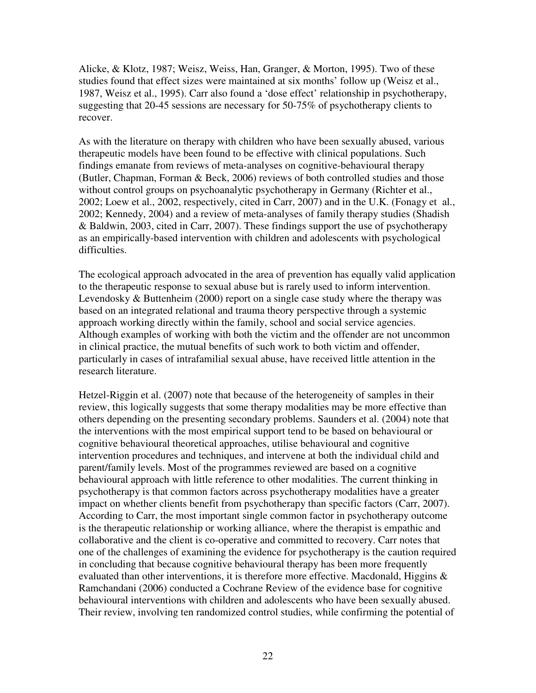Alicke, & Klotz, 1987; Weisz, Weiss, Han, Granger, & Morton, 1995). Two of these studies found that effect sizes were maintained at six months' follow up (Weisz et al., 1987, Weisz et al., 1995). Carr also found a 'dose effect' relationship in psychotherapy, suggesting that 20-45 sessions are necessary for 50-75% of psychotherapy clients to recover.

As with the literature on therapy with children who have been sexually abused, various therapeutic models have been found to be effective with clinical populations. Such findings emanate from reviews of meta-analyses on cognitive-behavioural therapy (Butler, Chapman, Forman & Beck, 2006) reviews of both controlled studies and those without control groups on psychoanalytic psychotherapy in Germany (Richter et al., 2002; Loew et al., 2002, respectively, cited in Carr, 2007) and in the U.K. (Fonagy et al., 2002; Kennedy, 2004) and a review of meta-analyses of family therapy studies (Shadish & Baldwin, 2003, cited in Carr, 2007). These findings support the use of psychotherapy as an empirically-based intervention with children and adolescents with psychological difficulties.

The ecological approach advocated in the area of prevention has equally valid application to the therapeutic response to sexual abuse but is rarely used to inform intervention. Levendosky & Buttenheim (2000) report on a single case study where the therapy was based on an integrated relational and trauma theory perspective through a systemic approach working directly within the family, school and social service agencies. Although examples of working with both the victim and the offender are not uncommon in clinical practice, the mutual benefits of such work to both victim and offender, particularly in cases of intrafamilial sexual abuse, have received little attention in the research literature.

Hetzel-Riggin et al. (2007) note that because of the heterogeneity of samples in their review, this logically suggests that some therapy modalities may be more effective than others depending on the presenting secondary problems. Saunders et al. (2004) note that the interventions with the most empirical support tend to be based on behavioural or cognitive behavioural theoretical approaches, utilise behavioural and cognitive intervention procedures and techniques, and intervene at both the individual child and parent/family levels. Most of the programmes reviewed are based on a cognitive behavioural approach with little reference to other modalities. The current thinking in psychotherapy is that common factors across psychotherapy modalities have a greater impact on whether clients benefit from psychotherapy than specific factors (Carr, 2007). According to Carr, the most important single common factor in psychotherapy outcome is the therapeutic relationship or working alliance, where the therapist is empathic and collaborative and the client is co-operative and committed to recovery. Carr notes that one of the challenges of examining the evidence for psychotherapy is the caution required in concluding that because cognitive behavioural therapy has been more frequently evaluated than other interventions, it is therefore more effective. Macdonald, Higgins & Ramchandani (2006) conducted a Cochrane Review of the evidence base for cognitive behavioural interventions with children and adolescents who have been sexually abused. Their review, involving ten randomized control studies, while confirming the potential of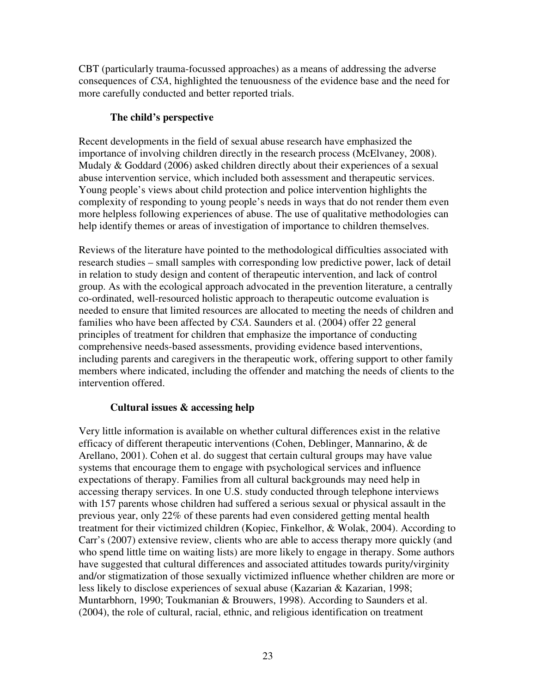CBT (particularly trauma-focussed approaches) as a means of addressing the adverse consequences of *CSA*, highlighted the tenuousness of the evidence base and the need for more carefully conducted and better reported trials.

# **The child's perspective**

Recent developments in the field of sexual abuse research have emphasized the importance of involving children directly in the research process (McElvaney, 2008). Mudaly & Goddard (2006) asked children directly about their experiences of a sexual abuse intervention service, which included both assessment and therapeutic services. Young people's views about child protection and police intervention highlights the complexity of responding to young people's needs in ways that do not render them even more helpless following experiences of abuse. The use of qualitative methodologies can help identify themes or areas of investigation of importance to children themselves.

Reviews of the literature have pointed to the methodological difficulties associated with research studies – small samples with corresponding low predictive power, lack of detail in relation to study design and content of therapeutic intervention, and lack of control group. As with the ecological approach advocated in the prevention literature, a centrally co-ordinated, well-resourced holistic approach to therapeutic outcome evaluation is needed to ensure that limited resources are allocated to meeting the needs of children and families who have been affected by *CSA*. Saunders et al. (2004) offer 22 general principles of treatment for children that emphasize the importance of conducting comprehensive needs-based assessments, providing evidence based interventions, including parents and caregivers in the therapeutic work, offering support to other family members where indicated, including the offender and matching the needs of clients to the intervention offered.

# **Cultural issues & accessing help**

Very little information is available on whether cultural differences exist in the relative efficacy of different therapeutic interventions (Cohen, Deblinger, Mannarino, & de Arellano, 2001). Cohen et al. do suggest that certain cultural groups may have value systems that encourage them to engage with psychological services and influence expectations of therapy. Families from all cultural backgrounds may need help in accessing therapy services. In one U.S. study conducted through telephone interviews with 157 parents whose children had suffered a serious sexual or physical assault in the previous year, only 22% of these parents had even considered getting mental health treatment for their victimized children (Kopiec, Finkelhor, & Wolak, 2004). According to Carr's (2007) extensive review, clients who are able to access therapy more quickly (and who spend little time on waiting lists) are more likely to engage in therapy. Some authors have suggested that cultural differences and associated attitudes towards purity/virginity and/or stigmatization of those sexually victimized influence whether children are more or less likely to disclose experiences of sexual abuse (Kazarian & Kazarian, 1998; Muntarbhorn, 1990; Toukmanian & Brouwers, 1998). According to Saunders et al. (2004), the role of cultural, racial, ethnic, and religious identification on treatment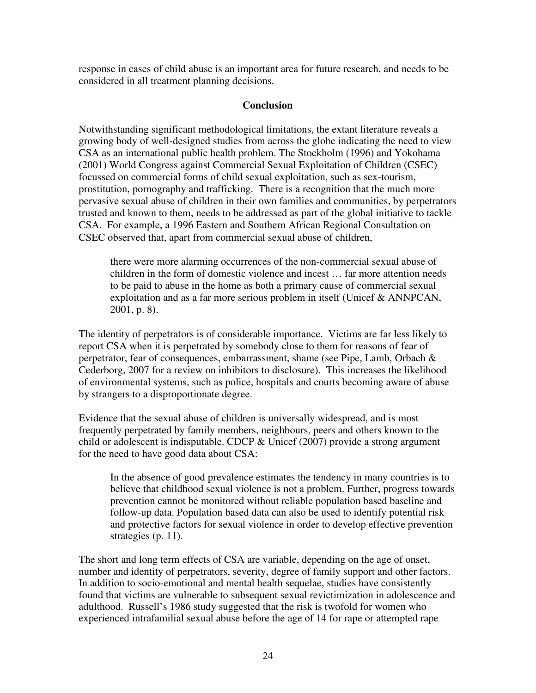response in cases of child abuse is an important area for future research, and needs to be considered in all treatment planning decisions.

# **Conclusion**

Notwithstanding significant methodological limitations, the extant literature reveals a growing body of well-designed studies from across the globe indicating the need to view CSA as an international public health problem. The Stockholm (1996) and Yokohama (2001) World Congress against Commercial Sexual Exploitation of Children (CSEC) focussed on commercial forms of child sexual exploitation, such as sex-tourism, prostitution, pornography and trafficking. There is a recognition that the much more pervasive sexual abuse of children in their own families and communities, by perpetrators trusted and known to them, needs to be addressed as part of the global initiative to tackle CSA. For example, a 1996 Eastern and Southern African Regional Consultation on CSEC observed that, apart from commercial sexual abuse of children,

there were more alarming occurrences of the non-commercial sexual abuse of children in the form of domestic violence and incest … far more attention needs to be paid to abuse in the home as both a primary cause of commercial sexual exploitation and as a far more serious problem in itself (Unicef & ANNPCAN, 2001, p. 8).

The identity of perpetrators is of considerable importance. Victims are far less likely to report CSA when it is perpetrated by somebody close to them for reasons of fear of perpetrator, fear of consequences, embarrassment, shame (see Pipe, Lamb, Orbach & Cederborg, 2007 for a review on inhibitors to disclosure). This increases the likelihood of environmental systems, such as police, hospitals and courts becoming aware of abuse by strangers to a disproportionate degree.

Evidence that the sexual abuse of children is universally widespread, and is most frequently perpetrated by family members, neighbours, peers and others known to the child or adolescent is indisputable. CDCP  $&$  Unicef (2007) provide a strong argument for the need to have good data about CSA:

In the absence of good prevalence estimates the tendency in many countries is to believe that childhood sexual violence is not a problem. Further, progress towards prevention cannot be monitored without reliable population based baseline and follow-up data. Population based data can also be used to identify potential risk and protective factors for sexual violence in order to develop effective prevention strategies (p. 11).

The short and long term effects of CSA are variable, depending on the age of onset, number and identity of perpetrators, severity, degree of family support and other factors. In addition to socio-emotional and mental health sequelae, studies have consistently found that victims are vulnerable to subsequent sexual revictimization in adolescence and adulthood. Russell's 1986 study suggested that the risk is twofold for women who experienced intrafamilial sexual abuse before the age of 14 for rape or attempted rape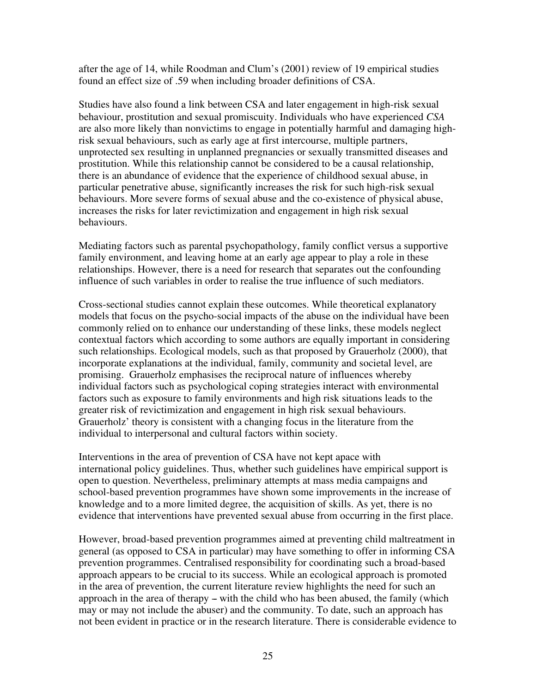after the age of 14, while Roodman and Clum's (2001) review of 19 empirical studies found an effect size of .59 when including broader definitions of CSA.

Studies have also found a link between CSA and later engagement in high-risk sexual behaviour, prostitution and sexual promiscuity. Individuals who have experienced *CSA* are also more likely than nonvictims to engage in potentially harmful and damaging highrisk sexual behaviours, such as early age at first intercourse, multiple partners, unprotected sex resulting in unplanned pregnancies or sexually transmitted diseases and prostitution. While this relationship cannot be considered to be a causal relationship, there is an abundance of evidence that the experience of childhood sexual abuse, in particular penetrative abuse, significantly increases the risk for such high-risk sexual behaviours. More severe forms of sexual abuse and the co-existence of physical abuse, increases the risks for later revictimization and engagement in high risk sexual behaviours.

Mediating factors such as parental psychopathology, family conflict versus a supportive family environment, and leaving home at an early age appear to play a role in these relationships. However, there is a need for research that separates out the confounding influence of such variables in order to realise the true influence of such mediators.

Cross-sectional studies cannot explain these outcomes. While theoretical explanatory models that focus on the psycho-social impacts of the abuse on the individual have been commonly relied on to enhance our understanding of these links, these models neglect contextual factors which according to some authors are equally important in considering such relationships. Ecological models, such as that proposed by Grauerholz (2000), that incorporate explanations at the individual, family, community and societal level, are promising. Grauerholz emphasises the reciprocal nature of influences whereby individual factors such as psychological coping strategies interact with environmental factors such as exposure to family environments and high risk situations leads to the greater risk of revictimization and engagement in high risk sexual behaviours. Grauerholz' theory is consistent with a changing focus in the literature from the individual to interpersonal and cultural factors within society.

Interventions in the area of prevention of CSA have not kept apace with international policy guidelines. Thus, whether such guidelines have empirical support is open to question. Nevertheless, preliminary attempts at mass media campaigns and school-based prevention programmes have shown some improvements in the increase of knowledge and to a more limited degree, the acquisition of skills. As yet, there is no evidence that interventions have prevented sexual abuse from occurring in the first place.

However, broad-based prevention programmes aimed at preventing child maltreatment in general (as opposed to CSA in particular) may have something to offer in informing CSA prevention programmes. Centralised responsibility for coordinating such a broad-based approach appears to be crucial to its success. While an ecological approach is promoted in the area of prevention, the current literature review highlights the need for such an approach in the area of therapy  $-$  with the child who has been abused, the family (which may or may not include the abuser) and the community. To date, such an approach has not been evident in practice or in the research literature. There is considerable evidence to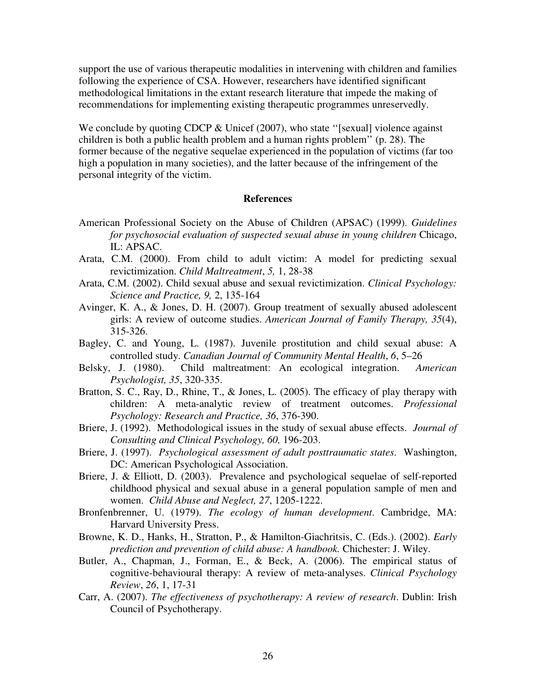support the use of various therapeutic modalities in intervening with children and families following the experience of CSA. However, researchers have identified significant methodological limitations in the extant research literature that impede the making of recommendations for implementing existing therapeutic programmes unreservedly.

We conclude by quoting CDCP  $&$  Unicef (2007), who state "[sexual] violence against children is both a public health problem and a human rights problem'' (p. 28). The former because of the negative sequelae experienced in the population of victims (far too high a population in many societies), and the latter because of the infringement of the personal integrity of the victim.

#### **References**

- American Professional Society on the Abuse of Children (APSAC) (1999). *Guidelines for psychosocial evaluation of suspected sexual abuse in young children* Chicago, IL: APSAC.
- Arata, C.M. (2000). From child to adult victim: A model for predicting sexual revictimization. *Child Maltreatment*, *5,* 1, 28-38
- Arata, C.M. (2002). Child sexual abuse and sexual revictimization. *Clinical Psychology: Science and Practice, 9,* 2, 135-164
- Avinger, K. A., & Jones, D. H. (2007). Group treatment of sexually abused adolescent girls: A review of outcome studies. *American Journal of Family Therapy, 35*(4), 315-326.
- Bagley, C. and Young, L. (1987). Juvenile prostitution and child sexual abuse: A controlled study. *Canadian Journal of Community Mental Health*, *6*, 5–26
- Belsky, J. (1980). Child maltreatment: An ecological integration. *American Psychologist, 35*, 320-335.
- Bratton, S. C., Ray, D., Rhine, T., & Jones, L. (2005). The efficacy of play therapy with children: A meta-analytic review of treatment outcomes. *Professional Psychology: Research and Practice, 36*, 376-390.
- Briere, J. (1992). Methodological issues in the study of sexual abuse effects. *Journal of Consulting and Clinical Psychology, 60,* 196-203.
- Briere, J. (1997). *Psychological assessment of adult posttraumatic states*. Washington, DC: American Psychological Association.
- Briere, J. & Elliott, D. (2003). Prevalence and psychological sequelae of self-reported childhood physical and sexual abuse in a general population sample of men and women. *Child Abuse and Neglect, 27*, 1205-1222.
- Bronfenbrenner, U. (1979). *The ecology of human development*. Cambridge, MA: Harvard University Press.
- Browne, K. D., Hanks, H., Stratton, P., & Hamilton-Giachritsis, C. (Eds.). (2002). *Early prediction and prevention of child abuse: A handbook.* Chichester: J. Wiley.
- Butler, A., Chapman, J., Forman, E., & Beck, A. (2006). The empirical status of cognitive-behavioural therapy: A review of meta-analyses. *Clinical Psychology Review*, *26*, 1, 17-31
- Carr, A. (2007). *The effectiveness of psychotherapy: A review of research*. Dublin: Irish Council of Psychotherapy.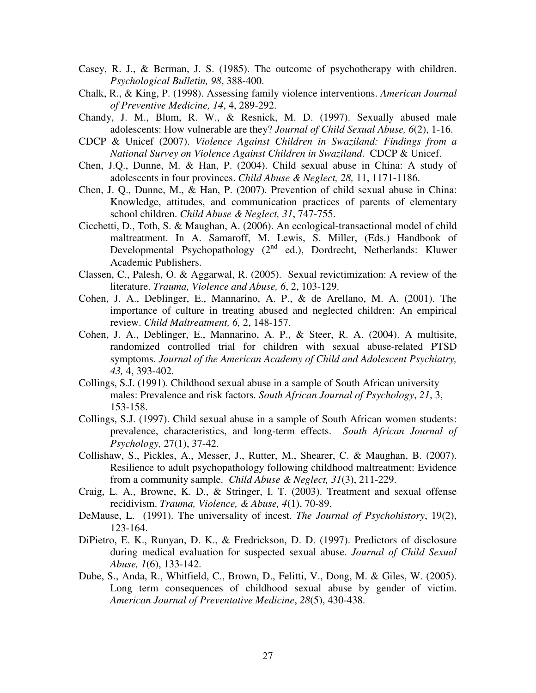- Casey, R. J., & Berman, J. S. (1985). The outcome of psychotherapy with children. *Psychological Bulletin, 98*, 388-400.
- Chalk, R., & King, P. (1998). Assessing family violence interventions. *American Journal of Preventive Medicine, 14*, 4, 289-292.
- Chandy, J. M., Blum, R. W., & Resnick, M. D. (1997). Sexually abused male adolescents: How vulnerable are they? *Journal of Child Sexual Abuse, 6*(2), 1-16.
- CDCP & Unicef (2007). *Violence Against Children in Swaziland: Findings from a National Survey on Violence Against Children in Swaziland*. CDCP & Unicef.
- Chen, J.Q., Dunne, M. & Han, P. (2004). Child sexual abuse in China: A study of adolescents in four provinces. *Child Abuse & Neglect, 28,* 11, 1171-1186.
- Chen, J. Q., Dunne, M., & Han, P. (2007). Prevention of child sexual abuse in China: Knowledge, attitudes, and communication practices of parents of elementary school children. *Child Abuse & Neglect, 31*, 747-755.
- Cicchetti, D., Toth, S. & Maughan, A. (2006). An ecological-transactional model of child maltreatment. In A. Samaroff, M. Lewis, S. Miller, (Eds.) Handbook of Developmental Psychopathology (2<sup>nd</sup> ed.), Dordrecht, Netherlands: Kluwer Academic Publishers.
- Classen, C., Palesh, O. & Aggarwal, R. (2005). Sexual revictimization: A review of the literature. *Trauma, Violence and Abuse, 6*, 2, 103-129.
- Cohen, J. A., Deblinger, E., Mannarino, A. P., & de Arellano, M. A. (2001). The importance of culture in treating abused and neglected children: An empirical review. *Child Maltreatment, 6,* 2, 148-157.
- Cohen, J. A., Deblinger, E., Mannarino, A. P., & Steer, R. A. (2004). A multisite, randomized controlled trial for children with sexual abuse-related PTSD symptoms. *Journal of the American Academy of Child and Adolescent Psychiatry, 43,* 4, 393-402.
- Collings, S.J. (1991). Childhood sexual abuse in a sample of South African university males: Prevalence and risk factors*. South African Journal of Psychology*, *21*, 3, 153-158.
- Collings, S.J. (1997). Child sexual abuse in a sample of South African women students: prevalence, characteristics, and long-term effects. *South African Journal of Psychology,* 27(1), 37-42.
- Collishaw, S., Pickles, A., Messer, J., Rutter, M., Shearer, C. & Maughan, B. (2007). Resilience to adult psychopathology following childhood maltreatment: Evidence from a community sample. *Child Abuse & Neglect, 31*(3), 211-229.
- Craig, L. A., Browne, K. D., & Stringer, I. T. (2003). Treatment and sexual offense recidivism. *Trauma, Violence, & Abuse, 4*(1), 70-89.
- DeMause, L. (1991). The universality of incest. *The Journal of Psychohistory*, 19(2), 123-164.
- DiPietro, E. K., Runyan, D. K., & Fredrickson, D. D. (1997). Predictors of disclosure during medical evaluation for suspected sexual abuse. *Journal of Child Sexual Abuse, 1*(6), 133-142.
- Dube, S., Anda, R., Whitfield, C., Brown, D., Felitti, V., Dong, M. & Giles, W. (2005). Long term consequences of childhood sexual abuse by gender of victim. *American Journal of Preventative Medicine*, *28*(5), 430-438.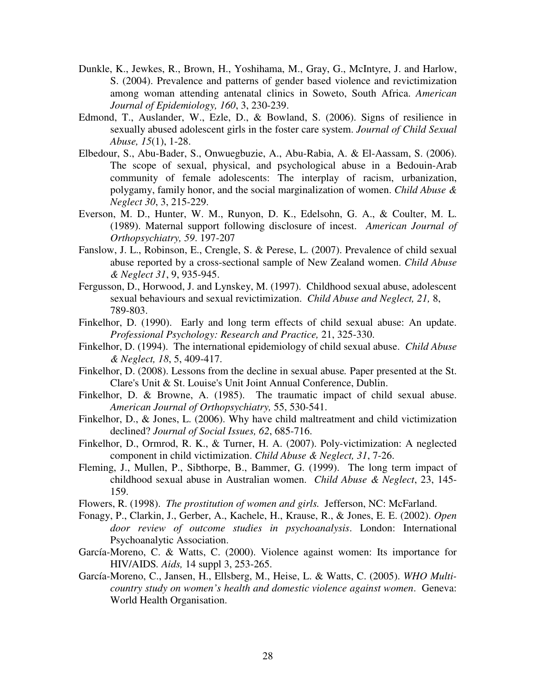- Dunkle, K., Jewkes, R., Brown, H., Yoshihama, M., Gray, G., McIntyre, J. and Harlow, S. (2004). Prevalence and patterns of gender based violence and revictimization among woman attending antenatal clinics in Soweto, South Africa. *American Journal of Epidemiology, 160*, 3, 230-239.
- Edmond, T., Auslander, W., Ezle, D., & Bowland, S. (2006). Signs of resilience in sexually abused adolescent girls in the foster care system. *Journal of Child Sexual Abuse, 15*(1), 1-28.
- Elbedour, S., Abu-Bader, S., Onwuegbuzie, A., Abu-Rabia, A. & El-Aassam, S. (2006). The scope of sexual, physical, and psychological abuse in a Bedouin-Arab community of female adolescents: The interplay of racism, urbanization, polygamy, family honor, and the social marginalization of women. *Child Abuse & Neglect 30*, 3, 215-229.
- Everson, M. D., Hunter, W. M., Runyon, D. K., Edelsohn, G. A., & Coulter, M. L. (1989). Maternal support following disclosure of incest. *American Journal of Orthopsychiatry, 59*. 197-207
- Fanslow, J. L., Robinson, E., Crengle, S. & Perese, L. (2007). Prevalence of child sexual abuse reported by a cross-sectional sample of New Zealand women. *Child Abuse & Neglect 31*, 9, 935-945.
- Fergusson, D., Horwood, J. and Lynskey, M. (1997). Childhood sexual abuse, adolescent sexual behaviours and sexual revictimization. *Child Abuse and Neglect, 21,* 8, 789-803.
- Finkelhor, D. (1990). Early and long term effects of child sexual abuse: An update. *Professional Psychology: Research and Practice,* 21, 325-330.
- Finkelhor, D. (1994). The international epidemiology of child sexual abuse. *Child Abuse & Neglect, 18*, 5, 409-417.
- Finkelhor, D. (2008). Lessons from the decline in sexual abuse*.* Paper presented at the St. Clare's Unit & St. Louise's Unit Joint Annual Conference, Dublin.
- Finkelhor, D. & Browne, A. (1985). The traumatic impact of child sexual abuse. *American Journal of Orthopsychiatry,* 55, 530-541.
- Finkelhor, D., & Jones, L. (2006). Why have child maltreatment and child victimization declined? *Journal of Social Issues, 62*, 685-716.
- Finkelhor, D., Ormrod, R. K., & Turner, H. A. (2007). Poly-victimization: A neglected component in child victimization. *Child Abuse & Neglect, 31*, 7-26.
- Fleming, J., Mullen, P., Sibthorpe, B., Bammer, G. (1999). The long term impact of childhood sexual abuse in Australian women. *Child Abuse & Neglect*, 23, 145- 159.
- Flowers, R. (1998). *The prostitution of women and girls.* Jefferson, NC: McFarland.
- Fonagy, P., Clarkin, J., Gerber, A., Kachele, H., Krause, R., & Jones, E. E. (2002). *Open door review of outcome studies in psychoanalysis*. London: International Psychoanalytic Association.
- García-Moreno, C. & Watts, C. (2000). Violence against women: Its importance for HIV/AIDS*. Aids,* 14 suppl 3, 253-265.
- García-Moreno, C., Jansen, H., Ellsberg, M., Heise, L. & Watts, C. (2005). *WHO Multicountry study on women's health and domestic violence against women*. Geneva: World Health Organisation.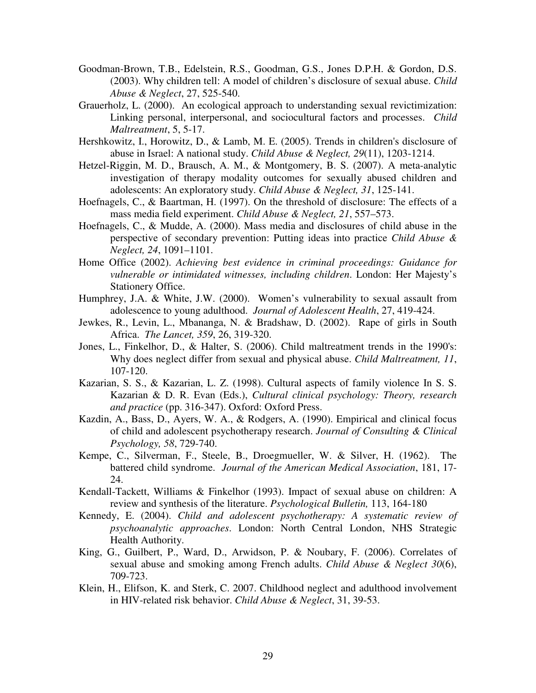- Goodman-Brown, T.B., Edelstein, R.S., Goodman, G.S., Jones D.P.H. & Gordon, D.S. (2003). Why children tell: A model of children's disclosure of sexual abuse. *Child Abuse & Neglect*, 27, 525-540.
- Grauerholz, L. (2000). An ecological approach to understanding sexual revictimization: Linking personal, interpersonal, and sociocultural factors and processes. *Child Maltreatment*, 5, 5-17.
- Hershkowitz, I., Horowitz, D., & Lamb, M. E. (2005). Trends in children's disclosure of abuse in Israel: A national study. *Child Abuse & Neglect, 29*(11), 1203-1214.
- Hetzel-Riggin, M. D., Brausch, A. M., & Montgomery, B. S. (2007). A meta-analytic investigation of therapy modality outcomes for sexually abused children and adolescents: An exploratory study. *Child Abuse & Neglect, 31*, 125-141.
- Hoefnagels, C., & Baartman, H. (1997). On the threshold of disclosure: The effects of a mass media field experiment. *Child Abuse & Neglect, 21*, 557–573.
- Hoefnagels, C., & Mudde, A. (2000). Mass media and disclosures of child abuse in the perspective of secondary prevention: Putting ideas into practice *Child Abuse & Neglect, 24*, 1091–1101.
- Home Office (2002). *Achieving best evidence in criminal proceedings: Guidance for vulnerable or intimidated witnesses, including children*. London: Her Majesty's Stationery Office.
- Humphrey, J.A. & White, J.W. (2000). Women's vulnerability to sexual assault from adolescence to young adulthood. *Journal of Adolescent Health*, 27, 419-424.
- Jewkes, R., Levin, L., Mbananga, N. & Bradshaw, D. (2002). Rape of girls in South Africa. *The Lancet, 359*, 26, 319-320.
- Jones, L., Finkelhor, D., & Halter, S. (2006). Child maltreatment trends in the 1990's: Why does neglect differ from sexual and physical abuse. *Child Maltreatment, 11*, 107-120.
- Kazarian, S. S., & Kazarian, L. Z. (1998). Cultural aspects of family violence In S. S. Kazarian & D. R. Evan (Eds.), *Cultural clinical psychology: Theory, research and practice* (pp. 316-347). Oxford: Oxford Press.
- Kazdin, A., Bass, D., Ayers, W. A., & Rodgers, A. (1990). Empirical and clinical focus of child and adolescent psychotherapy research. *Journal of Consulting & Clinical Psychology, 58*, 729-740.
- Kempe, C., Silverman, F., Steele, B., Droegmueller, W. & Silver, H. (1962). The battered child syndrome. *Journal of the American Medical Association*, 181, 17- 24.
- Kendall-Tackett, Williams & Finkelhor (1993). Impact of sexual abuse on children: A review and synthesis of the literature. *Psychological Bulletin,* 113, 164-180
- Kennedy, E. (2004). *Child and adolescent psychotherapy: A systematic review of psychoanalytic approaches*. London: North Central London, NHS Strategic Health Authority.
- King, G., Guilbert, P., Ward, D., Arwidson, P. & Noubary, F. (2006). Correlates of sexual abuse and smoking among French adults. *Child Abuse & Neglect 30*(6), 709-723.
- Klein, H., Elifson, K. and Sterk, C. 2007. Childhood neglect and adulthood involvement in HIV-related risk behavior. *Child Abuse & Neglect*, 31, 39-53.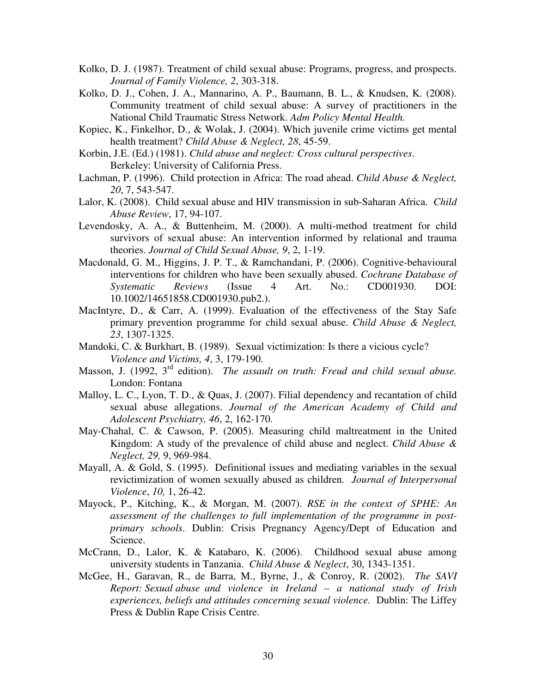- Kolko, D. J. (1987). Treatment of child sexual abuse: Programs, progress, and prospects. *Journal of Family Violence, 2*, 303-318.
- Kolko, D. J., Cohen, J. A., Mannarino, A. P., Baumann, B. L., & Knudsen, K. (2008). Community treatment of child sexual abuse: A survey of practitioners in the National Child Traumatic Stress Network. *Adm Policy Mental Health.*
- Kopiec, K., Finkelhor, D., & Wolak, J. (2004). Which juvenile crime victims get mental health treatment? *Child Abuse & Neglect, 28*, 45-59.
- Korbin, J.E. (Ed.) (1981). *Child abuse and neglect: Cross cultural perspectives*. Berkeley: University of California Press.
- Lachman, P. (1996). Child protection in Africa: The road ahead. *Child Abuse & Neglect, 20*, 7, 543-547.
- Lalor, K. (2008). Child sexual abuse and HIV transmission in sub-Saharan Africa. *Child Abuse Review*, 17, 94-107.
- Levendosky, A. A., & Buttenheim, M. (2000). A multi-method treatment for child survivors of sexual abuse: An intervention informed by relational and trauma theories. *Journal of Child Sexual Abuse, 9*, 2, 1-19.
- Macdonald, G. M., Higgins, J. P. T., & Ramchandani, P. (2006). Cognitive-behavioural interventions for children who have been sexually abused. *Cochrane Database of Systematic Reviews* (Issue 4 Art. No.: CD001930. DOI: 10.1002/14651858.CD001930.pub2.).
- MacIntyre, D., & Carr, A. (1999). Evaluation of the effectiveness of the Stay Safe primary prevention programme for child sexual abuse. *Child Abuse & Neglect, 23*, 1307-1325.
- Mandoki, C. & Burkhart, B. (1989). Sexual victimization: Is there a vicious cycle? *Violence and Victims, 4*, 3, 179-190.
- Masson, J. (1992, 3rd edition). *The assault on truth: Freud and child sexual abuse.* London: Fontana
- Malloy, L. C., Lyon, T. D., & Quas, J. (2007). Filial dependency and recantation of child sexual abuse allegations. *Journal of the American Academy of Child and Adolescent Psychiatry, 46*, 2, 162-170.
- May-Chahal, C. & Cawson, P. (2005). Measuring child maltreatment in the United Kingdom: A study of the prevalence of child abuse and neglect. *Child Abuse & Neglect, 29,* 9, 969-984.
- Mayall, A. & Gold, S. (1995). Definitional issues and mediating variables in the sexual revictimization of women sexually abused as children. *Journal of Interpersonal Violence*, *10,* 1, 26-42.
- Mayock, P., Kitching, K., & Morgan, M. (2007). *RSE in the context of SPHE: An assessment of the challenges to full implementation of the programme in postprimary schools*. Dublin: Crisis Pregnancy Agency/Dept of Education and Science.
- McCrann, D., Lalor, K. & Katabaro, K. (2006). Childhood sexual abuse among university students in Tanzania. *Child Abuse & Neglect*, 30, 1343-1351.
- McGee, H., Garavan, R., de Barra, M., Byrne, J., & Conroy, R. (2002). *The SAVI Report: Sexual abuse and violence in Ireland – a national study of Irish experiences, beliefs and attitudes concerning sexual violence.* Dublin: The Liffey Press & Dublin Rape Crisis Centre.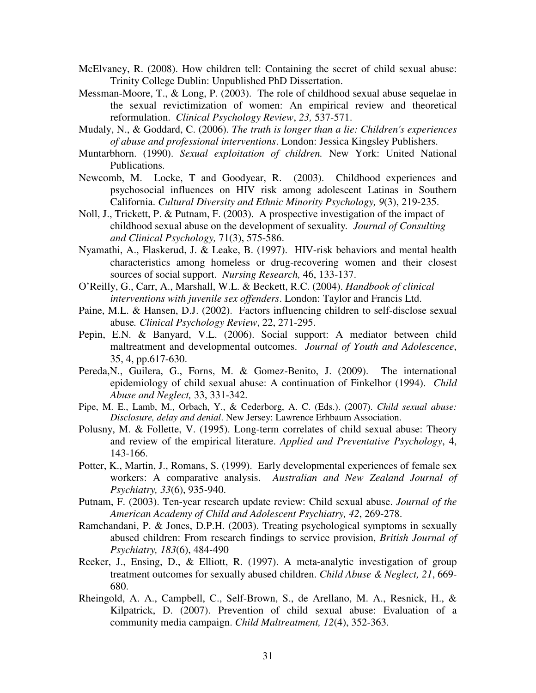- McElvaney, R. (2008). How children tell: Containing the secret of child sexual abuse: Trinity College Dublin: Unpublished PhD Dissertation.
- Messman-Moore, T., & Long, P. (2003). The role of childhood sexual abuse sequelae in the sexual revictimization of women: An empirical review and theoretical reformulation. *Clinical Psychology Review*, *23,* 537-571.
- Mudaly, N., & Goddard, C. (2006). *The truth is longer than a lie: Children's experiences of abuse and professional interventions*. London: Jessica Kingsley Publishers.
- Muntarbhorn. (1990). *Sexual exploitation of children.* New York: United National Publications.
- Newcomb, M. Locke, T and Goodyear, R. (2003). Childhood experiences and psychosocial influences on HIV risk among adolescent Latinas in Southern California. *Cultural Diversity and Ethnic Minority Psychology, 9*(3), 219-235.
- Noll, J., Trickett, P. & Putnam, F. (2003). A prospective investigation of the impact of childhood sexual abuse on the development of sexuality*. Journal of Consulting and Clinical Psychology,* 71(3), 575-586.
- Nyamathi, A., Flaskerud, J. & Leake, B. (1997). HIV-risk behaviors and mental health characteristics among homeless or drug-recovering women and their closest sources of social support. *Nursing Research,* 46, 133-137.
- O'Reilly, G., Carr, A., Marshall, W.L. & Beckett, R.C. (2004). *Handbook of clinical interventions with juvenile sex offenders*. London: Taylor and Francis Ltd.
- Paine, M.L. & Hansen, D.J. (2002). Factors influencing children to self-disclose sexual abuse*. Clinical Psychology Review*, 22, 271-295.
- Pepin, E.N. & Banyard, V.L. (2006). Social support: A mediator between child maltreatment and developmental outcomes. *Journal of Youth and Adolescence*, 35, 4, pp.617-630.
- Pereda,N., Guilera, G., Forns, M. & Gomez-Benito, J. (2009). The international epidemiology of child sexual abuse: A continuation of Finkelhor (1994). *Child Abuse and Neglect,* 33, 331-342.
- Pipe, M. E., Lamb, M., Orbach, Y., & Cederborg, A. C. (Eds.). (2007). *Child sexual abuse: Disclosure, delay and denial*. New Jersey: Lawrence Erhbaum Association.
- Polusny, M. & Follette, V. (1995). Long-term correlates of child sexual abuse: Theory and review of the empirical literature. *Applied and Preventative Psychology*, 4, 143-166.
- Potter, K., Martin, J., Romans, S. (1999). Early developmental experiences of female sex workers: A comparative analysis. *Australian and New Zealand Journal of Psychiatry, 33*(6), 935-940.
- Putnam, F. (2003). Ten-year research update review: Child sexual abuse. *Journal of the American Academy of Child and Adolescent Psychiatry, 42*, 269-278.
- Ramchandani, P. & Jones, D.P.H. (2003). Treating psychological symptoms in sexually abused children: From research findings to service provision, *British Journal of Psychiatry, 183*(6), 484-490
- Reeker, J., Ensing, D., & Elliott, R. (1997). A meta-analytic investigation of group treatment outcomes for sexually abused children. *Child Abuse & Neglect, 21*, 669- 680.
- Rheingold, A. A., Campbell, C., Self-Brown, S., de Arellano, M. A., Resnick, H., & Kilpatrick, D. (2007). Prevention of child sexual abuse: Evaluation of a community media campaign. *Child Maltreatment, 12*(4), 352-363.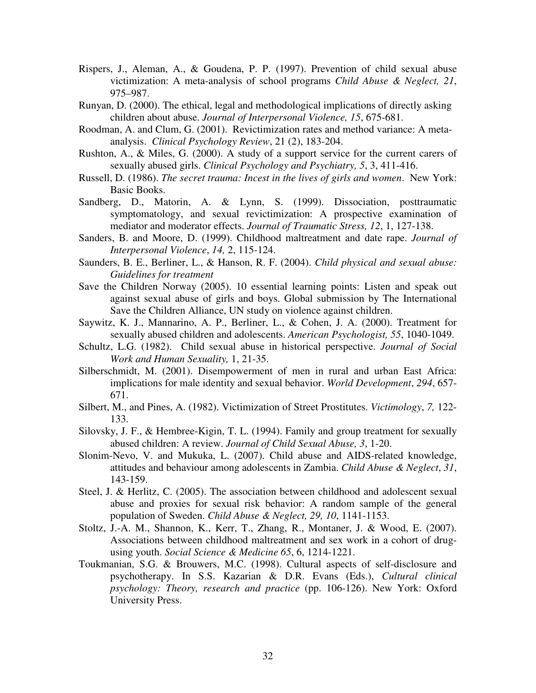- Rispers, J., Aleman, A., & Goudena, P. P. (1997). Prevention of child sexual abuse victimization: A meta-analysis of school programs *Child Abuse & Neglect, 21*, 975–987.
- Runyan, D. (2000). The ethical, legal and methodological implications of directly asking children about abuse. *Journal of Interpersonal Violence, 15*, 675-681.
- Roodman, A. and Clum, G. (2001). Revictimization rates and method variance: A meta analysis. *Clinical Psychology Review*, 21 (2), 183-204.
- Rushton, A., & Miles, G. (2000). A study of a support service for the current carers of sexually abused girls. *Clinical Psychology and Psychiatry, 5*, 3, 411-416.
- Russell, D. (1986). *The secret trauma: Incest in the lives of girls and women*. New York: Basic Books.
- Sandberg, D., Matorin, A. & Lynn, S. (1999). Dissociation, posttraumatic symptomatology, and sexual revictimization: A prospective examination of mediator and moderator effects. *Journal of Traumatic Stress, 12*, 1, 127-138.
- Sanders, B. and Moore, D. (1999). Childhood maltreatment and date rape. *Journal of Interpersonal Violence*, *14,* 2, 115-124.
- Saunders, B. E., Berliner, L., & Hanson, R. F. (2004). *Child physical and sexual abuse: Guidelines for treatment*
- Save the Children Norway (2005). 10 essential learning points: Listen and speak out against sexual abuse of girls and boys. Global submission by The International Save the Children Alliance, UN study on violence against children.
- Saywitz, K. J., Mannarino, A. P., Berliner, L., & Cohen, J. A. (2000). Treatment for sexually abused children and adolescents. *American Psychologist, 55*, 1040-1049.
- Schultz, L.G. (1982). Child sexual abuse in historical perspective. *Journal of Social Work and Human Sexuality,* 1, 21-35.
- Silberschmidt, M. (2001). Disempowerment of men in rural and urban East Africa: implications for male identity and sexual behavior. *World Development*, *294*, 657- 671.
- Silbert, M., and Pines, A. (1982). Victimization of Street Prostitutes. *Victimology*, *7,* 122- 133.
- Silovsky, J. F., & Hembree-Kigin, T. L. (1994). Family and group treatment for sexually abused children: A review. *Journal of Child Sexual Abuse, 3*, 1-20.
- Slonim-Nevo, V. and Mukuka, L. (2007). Child abuse and AIDS-related knowledge, attitudes and behaviour among adolescents in Zambia. *Child Abuse & Neglect*, *31*, 143-159.
- Steel, J. & Herlitz, C. (2005). The association between childhood and adolescent sexual abuse and proxies for sexual risk behavior: A random sample of the general population of Sweden. *Child Abuse & Neglect, 29, 10*, 1141-1153.
- Stoltz, J.-A. M., Shannon, K., Kerr, T., Zhang, R., Montaner, J. & Wood, E. (2007). Associations between childhood maltreatment and sex work in a cohort of drugusing youth. *Social Science & Medicine 65*, 6, 1214-1221.
- Toukmanian, S.G. & Brouwers, M.C. (1998). Cultural aspects of self-disclosure and psychotherapy. In S.S. Kazarian & D.R. Evans (Eds.), *Cultural clinical psychology: Theory, research and practice* (pp. 106-126). New York: Oxford University Press.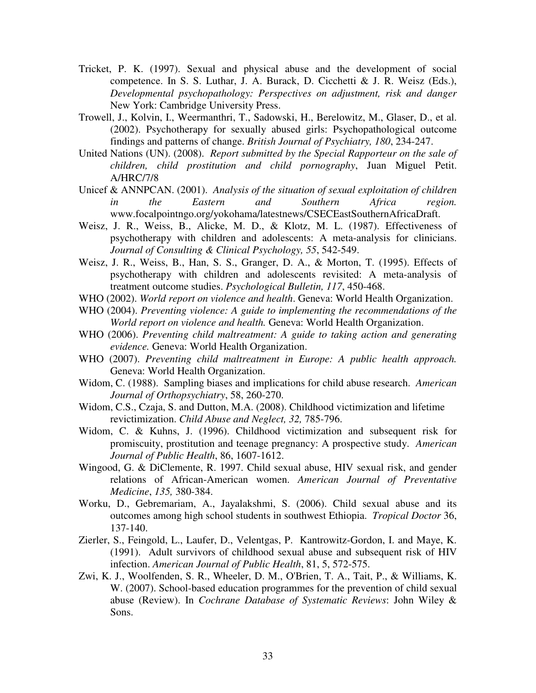- Tricket, P. K. (1997). Sexual and physical abuse and the development of social competence. In S. S. Luthar, J. A. Burack, D. Cicchetti & J. R. Weisz (Eds.), *Developmental psychopathology: Perspectives on adjustment, risk and danger*  New York: Cambridge University Press.
- Trowell, J., Kolvin, I., Weermanthri, T., Sadowski, H., Berelowitz, M., Glaser, D., et al. (2002). Psychotherapy for sexually abused girls: Psychopathological outcome findings and patterns of change. *British Journal of Psychiatry, 180*, 234-247.
- United Nations (UN). (2008). *Report submitted by the Special Rapporteur on the sale of children, child prostitution and child pornography*, Juan Miguel Petit. A/HRC/7/8
- Unicef & ANNPCAN. (2001). *Analysis of the situation of sexual exploitation of children in the Eastern and Southern Africa region.* www.focalpointngo.org/yokohama/latestnews/CSECEastSouthernAfricaDraft.
- Weisz, J. R., Weiss, B., Alicke, M. D., & Klotz, M. L. (1987). Effectiveness of psychotherapy with children and adolescents: A meta-analysis for clinicians. *Journal of Consulting & Clinical Psychology, 55*, 542-549.
- Weisz, J. R., Weiss, B., Han, S. S., Granger, D. A., & Morton, T. (1995). Effects of psychotherapy with children and adolescents revisited: A meta-analysis of treatment outcome studies. *Psychological Bulletin, 117*, 450-468.
- WHO (2002). *World report on violence and health*. Geneva: World Health Organization.
- WHO (2004). *Preventing violence: A guide to implementing the recommendations of the World report on violence and health.* Geneva: World Health Organization.
- WHO (2006). *Preventing child maltreatment: A guide to taking action and generating evidence.* Geneva: World Health Organization.
- WHO (2007). *Preventing child maltreatment in Europe: A public health approach.*  Geneva: World Health Organization.
- Widom, C. (1988). Sampling biases and implications for child abuse research. *American Journal of Orthopsychiatry*, 58, 260-270.
- Widom, C.S., Czaja, S. and Dutton, M.A. (2008). Childhood victimization and lifetime revictimization. *Child Abuse and Neglect, 32,* 785-796.
- Widom, C. & Kuhns, J. (1996). Childhood victimization and subsequent risk for promiscuity, prostitution and teenage pregnancy: A prospective study. *American Journal of Public Health*, 86, 1607-1612.
- Wingood, G. & DiClemente, R. 1997. Child sexual abuse, HIV sexual risk, and gender relations of African-American women. *American Journal of Preventative Medicine*, *135,* 380-384.
- Worku, D., Gebremariam, A., Jayalakshmi, S. (2006). Child sexual abuse and its outcomes among high school students in southwest Ethiopia. *Tropical Doctor* 36, 137-140.
- Zierler, S., Feingold, L., Laufer, D., Velentgas, P. Kantrowitz-Gordon, I. and Maye, K. (1991). Adult survivors of childhood sexual abuse and subsequent risk of HIV infection. *American Journal of Public Health*, 81, 5, 572-575.
- Zwi, K. J., Woolfenden, S. R., Wheeler, D. M., O'Brien, T. A., Tait, P., & Williams, K. W. (2007). School-based education programmes for the prevention of child sexual abuse (Review). In *Cochrane Database of Systematic Reviews*: John Wiley & Sons.